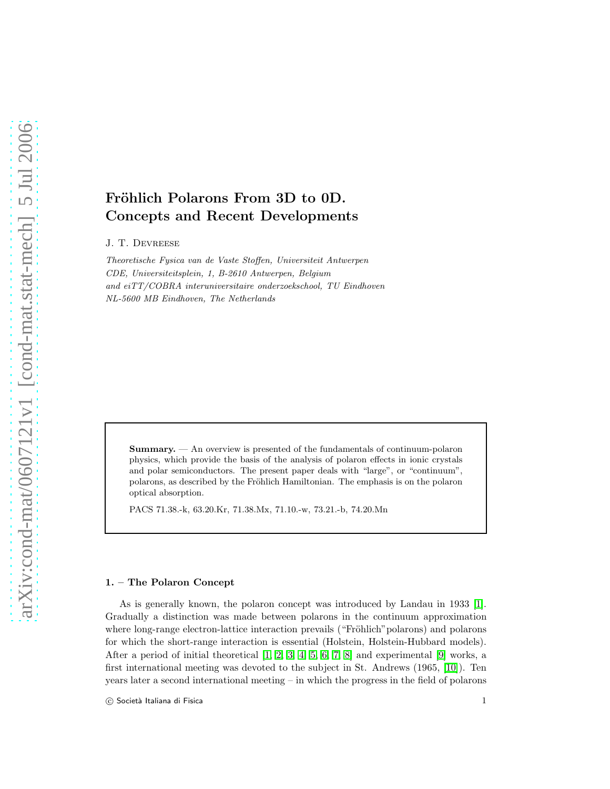# Fröhlich Polarons From 3D to 0D. Concepts and Recent Developments

J. T. Devreese

Theoretische Fysica van de Vaste Stoffen, Universiteit Antwerpen CDE, Universiteitsplein, 1, B-2610 Antwerpen, Belgium and eiTT/COBRA interuniversitaire onderzoekschool, TU Eindhoven NL-5600 MB Eindhoven, The Netherlands

Summary. — An overview is presented of the fundamentals of continuum-polaron physics, which provide the basis of the analysis of polaron effects in ionic crystals and polar semiconductors. The present paper deals with "large", or "continuum", polarons, as described by the Fröhlich Hamiltonian. The emphasis is on the polaron optical absorption.

PACS 71.38.-k, 63.20.Kr, 71.38.Mx, 71.10.-w, 73.21.-b, 74.20.Mn

## 1. – The Polaron Concept

As is generally known, the polaron concept was introduced by Landau in 1933 [\[1\]](#page-22-0). Gradually a distinction was made between polarons in the continuum approximation where long-range electron-lattice interaction prevails ("Fröhlich" polarons) and polarons for which the short-range interaction is essential (Holstein, Holstein-Hubbard models). After a period of initial theoretical  $[1, 2, 3, 4, 5, 6, 7, 8]$  $[1, 2, 3, 4, 5, 6, 7, 8]$  $[1, 2, 3, 4, 5, 6, 7, 8]$  $[1, 2, 3, 4, 5, 6, 7, 8]$  $[1, 2, 3, 4, 5, 6, 7, 8]$  $[1, 2, 3, 4, 5, 6, 7, 8]$  $[1, 2, 3, 4, 5, 6, 7, 8]$  $[1, 2, 3, 4, 5, 6, 7, 8]$  and experimental  $[9]$  works, a first international meeting was devoted to the subject in St. Andrews (1965, [\[10\]](#page-23-7)). Ten years later a second international meeting – in which the progress in the field of polarons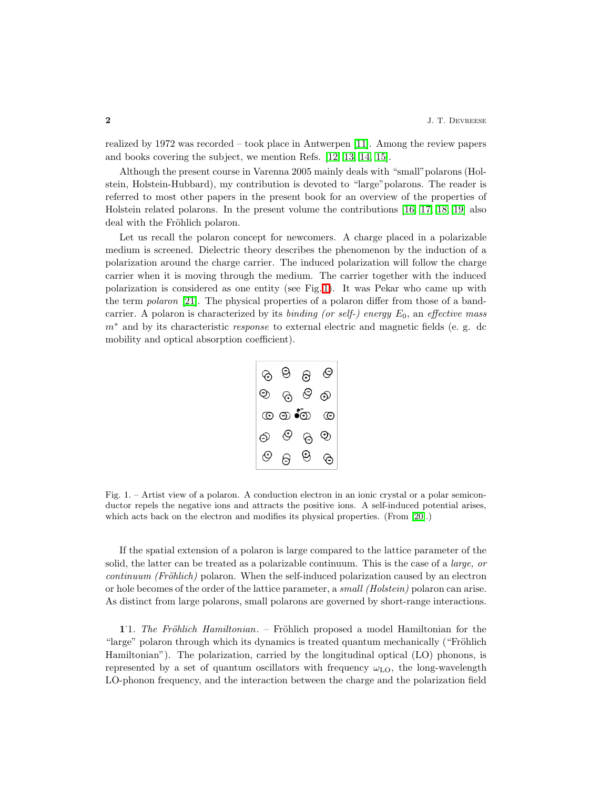realized by 1972 was recorded – took place in Antwerpen [\[11\]](#page-23-8). Among the review papers and books covering the subject, we mention Refs. [\[12,](#page-23-9) [13,](#page-23-10) [14,](#page-23-11) [15\]](#page-23-12).

Although the present course in Varenna 2005 mainly deals with "small"polarons (Holstein, Holstein-Hubbard), my contribution is devoted to "large"polarons. The reader is referred to most other papers in the present book for an overview of the properties of Holstein related polarons. In the present volume the contributions [\[16,](#page-23-13) [17,](#page-23-14) [18,](#page-23-15) [19\]](#page-23-16) also deal with the Fröhlich polaron.

Let us recall the polaron concept for newcomers. A charge placed in a polarizable medium is screened. Dielectric theory describes the phenomenon by the induction of a polarization around the charge carrier. The induced polarization will follow the charge carrier when it is moving through the medium. The carrier together with the induced polarization is considered as one entity (see Fig. [1\)](#page-1-0). It was Pekar who came up with the term *polaron* [\[21\]](#page-23-17). The physical properties of a polaron differ from those of a bandcarrier. A polaron is characterized by its binding (or self-) energy  $E_0$ , an effective mass  $m<sup>*</sup>$  and by its characteristic response to external electric and magnetic fields (e. g. dc mobility and optical absorption coefficient).



<span id="page-1-0"></span>Fig. 1. – Artist view of a polaron. A conduction electron in an ionic crystal or a polar semiconductor repels the negative ions and attracts the positive ions. A self-induced potential arises, which acts back on the electron and modifies its physical properties. (From [\[20\]](#page-23-18).)

If the spatial extension of a polaron is large compared to the lattice parameter of the solid, the latter can be treated as a polarizable continuum. This is the case of a *large, or*  $continuum$  (Fröhlich) polaron. When the self-induced polarization caused by an electron or hole becomes of the order of the lattice parameter, a small (Holstein) polaron can arise. As distinct from large polarons, small polarons are governed by short-range interactions.

1. The Fröhlich Hamiltonian. – Fröhlich proposed a model Hamiltonian for the "large" polaron through which its dynamics is treated quantum mechanically ("Fröhlich") Hamiltonian"). The polarization, carried by the longitudinal optical (LO) phonons, is represented by a set of quantum oscillators with frequency  $\omega_{LO}$ , the long-wavelength LO-phonon frequency, and the interaction between the charge and the polarization field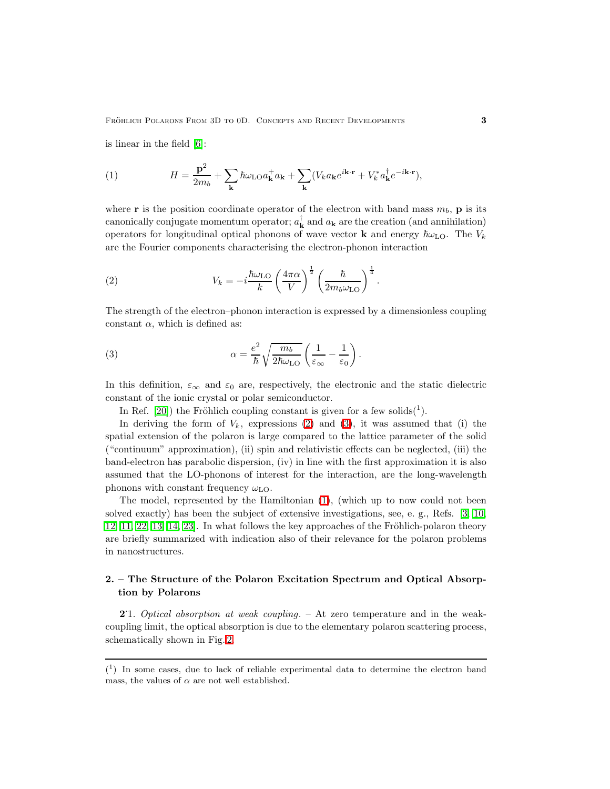<span id="page-2-2"></span>is linear in the field [\[6\]](#page-23-3):

(1) 
$$
H = \frac{\mathbf{p}^2}{2m_b} + \sum_{\mathbf{k}} \hbar \omega_{\text{LO}} a_{\mathbf{k}}^+ a_{\mathbf{k}} + \sum_{\mathbf{k}} (V_k a_{\mathbf{k}} e^{i\mathbf{k}\cdot\mathbf{r}} + V_k^* a_{\mathbf{k}}^\dagger e^{-i\mathbf{k}\cdot\mathbf{r}}),
$$

<span id="page-2-0"></span>where **r** is the position coordinate operator of the electron with band mass  $m_b$ , **p** is its canonically conjugate momentum operator;  $a_{\mathbf{k}}^{\dagger}$  and  $a_{\mathbf{k}}$  are the creation (and annihilation) operators for longitudinal optical phonons of wave vector **k** and energy  $\hbar\omega_{\text{LO}}$ . The  $V_k$ are the Fourier components characterising the electron-phonon interaction

(2) 
$$
V_k = -i\frac{\hbar\omega_{\text{LO}}}{k} \left(\frac{4\pi\alpha}{V}\right)^{\frac{1}{2}} \left(\frac{\hbar}{2m_b\omega_{\text{LO}}}\right)^{\frac{1}{4}}.
$$

<span id="page-2-1"></span>The strength of the electron–phonon interaction is expressed by a dimensionless coupling constant  $\alpha$ , which is defined as:

(3) 
$$
\alpha = \frac{e^2}{\hbar} \sqrt{\frac{m_b}{2\hbar \omega_{\text{LO}}}} \left( \frac{1}{\varepsilon_{\infty}} - \frac{1}{\varepsilon_0} \right).
$$

In this definition,  $\varepsilon_{\infty}$  and  $\varepsilon_{0}$  are, respectively, the electronic and the static dielectric constant of the ionic crystal or polar semiconductor.

In Ref. [\[20\]](#page-23-18)) the Fröhlich coupling constant is given for a few solids( $^1$ ).

In deriving the form of  $V_k$ , expressions [\(2\)](#page-2-0) and [\(3\)](#page-2-1), it was assumed that (i) the spatial extension of the polaron is large compared to the lattice parameter of the solid ("continuum" approximation), (ii) spin and relativistic effects can be neglected, (iii) the band-electron has parabolic dispersion, (iv) in line with the first approximation it is also assumed that the LO-phonons of interest for the interaction, are the long-wavelength phonons with constant frequency  $\omega_{\text{LO}}$ .

The model, represented by the Hamiltonian [\(1\)](#page-2-2), (which up to now could not been solved exactly) has been the subject of extensive investigations, see, e. g., Refs. [\[3,](#page-23-0) [10,](#page-23-7) [12,](#page-23-9) [11,](#page-23-8) [22,](#page-23-19) [13,](#page-23-10) [14,](#page-23-11) 23. In what follows the key approaches of the Fröhlich-polaron theory are briefly summarized with indication also of their relevance for the polaron problems in nanostructures.

## 2. – The Structure of the Polaron Excitation Spectrum and Optical Absorption by Polarons

<span id="page-2-3"></span>2.1. Optical absorption at weak coupling. – At zero temperature and in the weakcoupling limit, the optical absorption is due to the elementary polaron scattering process, schematically shown in Fig. [2.](#page-3-0)

 $(1)$  In some cases, due to lack of reliable experimental data to determine the electron band mass, the values of  $\alpha$  are not well established.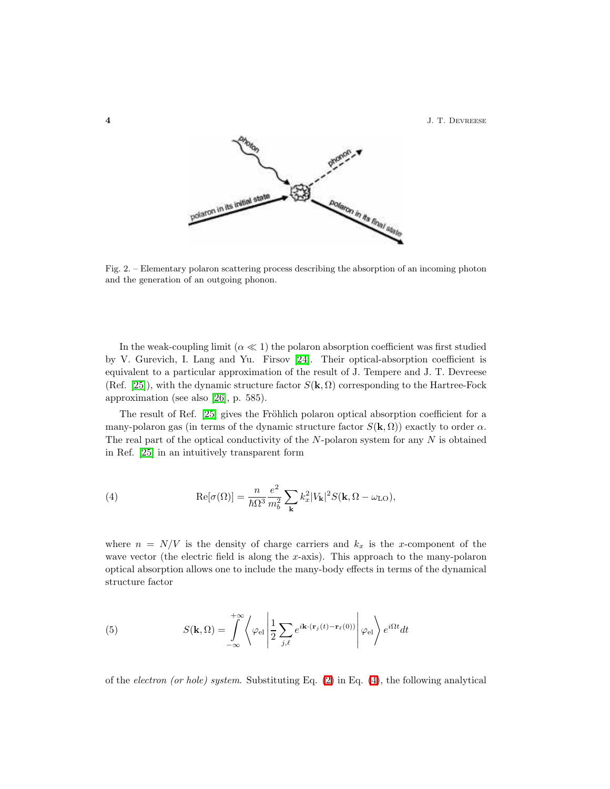**4** J. T. DEVREESE



<span id="page-3-0"></span>Fig. 2. – Elementary polaron scattering process describing the absorption of an incoming photon and the generation of an outgoing phonon.

In the weak-coupling limit  $(\alpha \ll 1)$  the polaron absorption coefficient was first studied by V. Gurevich, I. Lang and Yu. Firsov [\[24\]](#page-23-21). Their optical-absorption coefficient is equivalent to a particular approximation of the result of J. Tempere and J. T. Devreese (Ref. [\[25\]](#page-23-22)), with the dynamic structure factor  $S(\mathbf{k}, \Omega)$  corresponding to the Hartree-Fock approximation (see also [\[26\]](#page-23-23), p. 585).

<span id="page-3-1"></span>The result of Ref. [\[25\]](#page-23-22) gives the Fröhlich polaron optical absorption coefficient for a many-polaron gas (in terms of the dynamic structure factor  $S(\mathbf{k}, \Omega)$ ) exactly to order  $\alpha$ . The real part of the optical conductivity of the  $N$ -polaron system for any  $N$  is obtained in Ref. [\[25\]](#page-23-22) in an intuitively transparent form

(4) 
$$
\operatorname{Re}[\sigma(\Omega)] = \frac{n}{\hbar\Omega^3} \frac{e^2}{m_b^2} \sum_{\mathbf{k}} k_x^2 |V_{\mathbf{k}}|^2 S(\mathbf{k}, \Omega - \omega_{\text{LO}}),
$$

where  $n = N/V$  is the density of charge carriers and  $k_x$  is the x-component of the wave vector (the electric field is along the x-axis). This approach to the many-polaron optical absorption allows one to include the many-body effects in terms of the dynamical structure factor

(5) 
$$
S(\mathbf{k},\Omega)=\int_{-\infty}^{+\infty}\left\langle \varphi_{\rm el}\left|\frac{1}{2}\sum_{j,\ell}e^{i\mathbf{k}\cdot(\mathbf{r}_j(t)-\mathbf{r}_\ell(0))}\right|\varphi_{\rm el}\right\rangle e^{i\Omega t}dt
$$

of the *electron (or hole)* system. Substituting Eq.  $(2)$  in Eq.  $(4)$ , the following analytical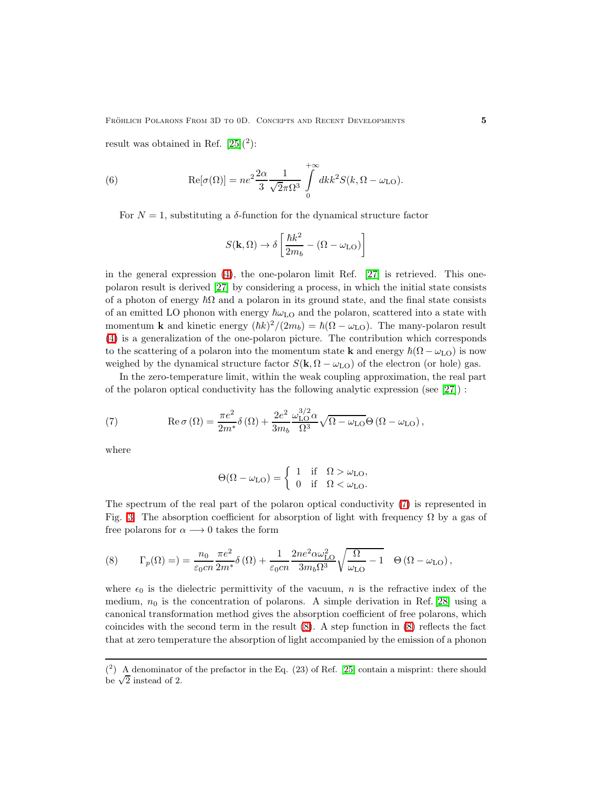result was obtained in Ref.  $[25](^2)$ :

(6) 
$$
\operatorname{Re}[\sigma(\Omega)] = ne^2 \frac{2\alpha}{3} \frac{1}{\sqrt{2}\pi\Omega^3} \int_{0}^{+\infty} dk k^2 S(k, \Omega - \omega_{\text{LO}}).
$$

For  $N = 1$ , substituting a  $\delta$ -function for the dynamical structure factor

$$
S(\mathbf{k}, \Omega) \to \delta \left[ \frac{\hbar k^2}{2 m_b} - (\Omega - \omega_{\text{LO}}) \right]
$$

in the general expression  $(4)$ , the one-polaron limit Ref.  $[27]$  is retrieved. This onepolaron result is derived [\[27\]](#page-23-24) by considering a process, in which the initial state consists of a photon of energy  $\hbar\Omega$  and a polaron in its ground state, and the final state consists of an emitted LO phonon with energy  $\hbar\omega_{\text{LO}}$  and the polaron, scattered into a state with momentum **k** and kinetic energy  $(\hbar k)^2/(2m_b) = \hbar(\Omega - \omega_{LO})$ . The many-polaron result [\(4\)](#page-3-1) is a generalization of the one-polaron picture. The contribution which corresponds to the scattering of a polaron into the momentum state **k** and energy  $\hbar(\Omega - \omega_{LO})$  is now weighed by the dynamical structure factor  $S(\mathbf{k}, \Omega - \omega_{\text{LO}})$  of the electron (or hole) gas.

In the zero-temperature limit, within the weak coupling approximation, the real part of the polaron optical conductivity has the following analytic expression (see [\[27\]](#page-23-24)) :

(7) 
$$
\operatorname{Re} \sigma(\Omega) = \frac{\pi e^2}{2m^*} \delta(\Omega) + \frac{2e^2}{3m_b} \frac{\omega_{\text{LO}}^{3/2} \alpha}{\Omega^3} \sqrt{\Omega - \omega_{\text{LO}}} \Theta(\Omega - \omega_{\text{LO}}),
$$

where

<span id="page-4-1"></span><span id="page-4-0"></span>
$$
\Theta(\Omega - \omega_{\text{LO}}) = \begin{cases} 1 & \text{if } \Omega > \omega_{\text{LO}}, \\ 0 & \text{if } \Omega < \omega_{\text{LO}}. \end{cases}
$$

The spectrum of the real part of the polaron optical conductivity [\(7\)](#page-4-0) is represented in Fig. [3.](#page-5-0) The absorption coefficient for absorption of light with frequency  $\Omega$  by a gas of free polarons for  $\alpha \longrightarrow 0$  takes the form

(8) 
$$
\Gamma_p(\Omega) = \frac{n_0}{\varepsilon_0 c n} \frac{\pi e^2}{2m^*} \delta(\Omega) + \frac{1}{\varepsilon_0 c n} \frac{2ne^2 \alpha \omega_{\text{LO}}^2}{3m_b \Omega^3} \sqrt{\frac{\Omega}{\omega_{\text{LO}}} - 1} \quad \Theta(\Omega - \omega_{\text{LO}}),
$$

where  $\epsilon_0$  is the dielectric permittivity of the vacuum, n is the refractive index of the medium,  $n_0$  is the concentration of polarons. A simple derivation in Ref. [\[28\]](#page-23-25) using a canonical transformation method gives the absorption coefficient of free polarons, which coincides with the second term in the result [\(8\)](#page-4-1). A step function in [\(8\)](#page-4-1) reflects the fact that at zero temperature the absorption of light accompanied by the emission of a phonon

 $(2)$  A denominator of the prefactor in the Eq. (23) of Ref. [\[25\]](#page-23-22) contain a misprint: there should be  $\sqrt{2}$  instead of 2.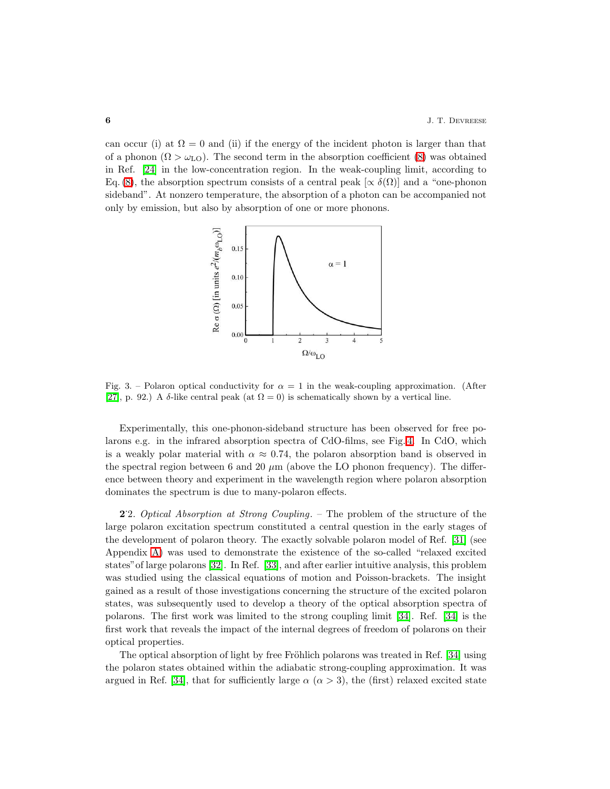can occur (i) at  $\Omega = 0$  and (ii) if the energy of the incident photon is larger than that of a phonon  $(\Omega > \omega_{LO})$ . The second term in the absorption coefficient [\(8\)](#page-4-1) was obtained in Ref. [\[24\]](#page-23-21) in the low-concentration region. In the weak-coupling limit, according to Eq. [\(8\)](#page-4-1), the absorption spectrum consists of a central peak [ $\propto \delta(\Omega)$ ] and a "one-phonon sideband". At nonzero temperature, the absorption of a photon can be accompanied not only by emission, but also by absorption of one or more phonons.



<span id="page-5-0"></span>Fig. 3. – Polaron optical conductivity for  $\alpha = 1$  in the weak-coupling approximation. (After [\[27\]](#page-23-24), p. 92.) A  $\delta$ -like central peak (at  $\Omega = 0$ ) is schematically shown by a vertical line.

Experimentally, this one-phonon-sideband structure has been observed for free polarons e.g. in the infrared absorption spectra of CdO-films, see Fig. [4.](#page-6-0) In CdO, which is a weakly polar material with  $\alpha \approx 0.74$ , the polaron absorption band is observed in the spectral region between 6 and 20  $\mu$ m (above the LO phonon frequency). The difference between theory and experiment in the wavelength region where polaron absorption dominates the spectrum is due to many-polaron effects.

2. Optical Absorption at Strong Coupling. – The problem of the structure of the large polaron excitation spectrum constituted a central question in the early stages of the development of polaron theory. The exactly solvable polaron model of Ref. [\[31\]](#page-23-26) (see Appendix [A\)](#page-22-2) was used to demonstrate the existence of the so-called "relaxed excited states"of large polarons [\[32\]](#page-23-27). In Ref. [\[33\]](#page-23-28), and after earlier intuitive analysis, this problem was studied using the classical equations of motion and Poisson-brackets. The insight gained as a result of those investigations concerning the structure of the excited polaron states, was subsequently used to develop a theory of the optical absorption spectra of polarons. The first work was limited to the strong coupling limit [\[34\]](#page-23-29). Ref. [\[34\]](#page-23-29) is the first work that reveals the impact of the internal degrees of freedom of polarons on their optical properties.

The optical absorption of light by free Fröhlich polarons was treated in Ref. [\[34\]](#page-23-29) using the polaron states obtained within the adiabatic strong-coupling approximation. It was argued in Ref. [\[34\]](#page-23-29), that for sufficiently large  $\alpha$  ( $\alpha > 3$ ), the (first) relaxed excited state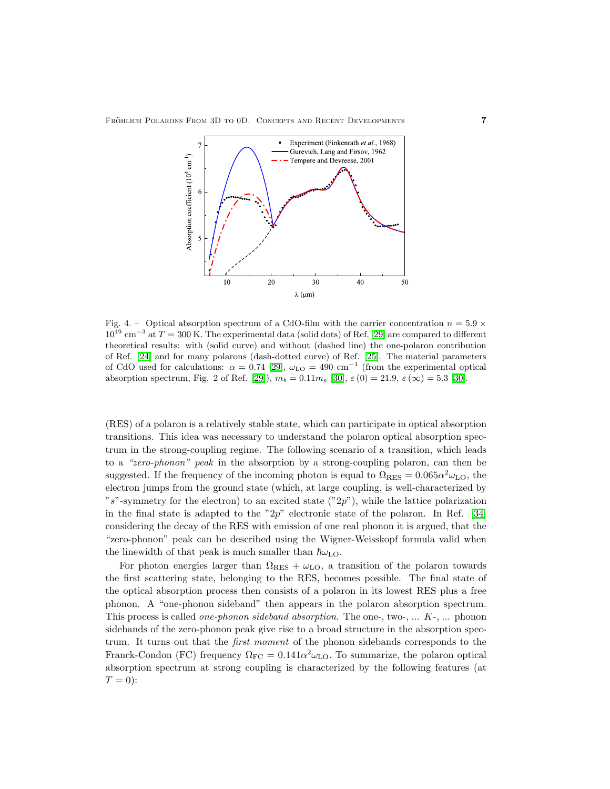

<span id="page-6-0"></span>Fig. 4. – Optical absorption spectrum of a CdO-film with the carrier concentration  $n = 5.9 \times$  $10^{19}$  cm<sup>-3</sup> at  $T = 300$  K. The experimental data (solid dots) of Ref. [\[29\]](#page-23-30) are compared to different theoretical results: with (solid curve) and without (dashed line) the one-polaron contribution of Ref. [\[24\]](#page-23-21) and for many polarons (dash-dotted curve) of Ref. [\[25\]](#page-23-22). The material parameters of CdO used for calculations:  $\alpha = 0.74$  [\[29\]](#page-23-30),  $\omega_{LO} = 490$  cm<sup>-1</sup> (from the experimental optical absorption spectrum, Fig. 2 of Ref. [\[29\]](#page-23-30)),  $m_b = 0.11m_e$  [\[30\]](#page-23-31),  $\varepsilon(0) = 21.9$ ,  $\varepsilon(\infty) = 5.3$  [\[30\]](#page-23-31).

(RES) of a polaron is a relatively stable state, which can participate in optical absorption transitions. This idea was necessary to understand the polaron optical absorption spectrum in the strong-coupling regime. The following scenario of a transition, which leads to a "zero-phonon" peak in the absorption by a strong-coupling polaron, can then be suggested. If the frequency of the incoming photon is equal to  $\Omega_{RES} = 0.065 \alpha^2 \omega_{LO}$ , the electron jumps from the ground state (which, at large coupling, is well-characterized by "s"-symmetry for the electron) to an excited state  $("2p")$ , while the lattice polarization in the final state is adapted to the " $2p$ " electronic state of the polaron. In Ref. [\[34\]](#page-23-29) considering the decay of the RES with emission of one real phonon it is argued, that the "zero-phonon" peak can be described using the Wigner-Weisskopf formula valid when the linewidth of that peak is much smaller than  $\hbar\omega_{\text{LO}}$ .

For photon energies larger than  $\Omega_{RES} + \omega_{LO}$ , a transition of the polaron towards the first scattering state, belonging to the RES, becomes possible. The final state of the optical absorption process then consists of a polaron in its lowest RES plus a free phonon. A "one-phonon sideband" then appears in the polaron absorption spectrum. This process is called *one-phonon sideband absorption*. The one-, two-,  $\dots$   $K$ -,  $\dots$  phonon sidebands of the zero-phonon peak give rise to a broad structure in the absorption spectrum. It turns out that the first moment of the phonon sidebands corresponds to the Franck-Condon (FC) frequency  $\Omega_{\text{FC}} = 0.141 \alpha^2 \omega_{\text{LO}}$ . To summarize, the polaron optical absorption spectrum at strong coupling is characterized by the following features (at  $T=0$ :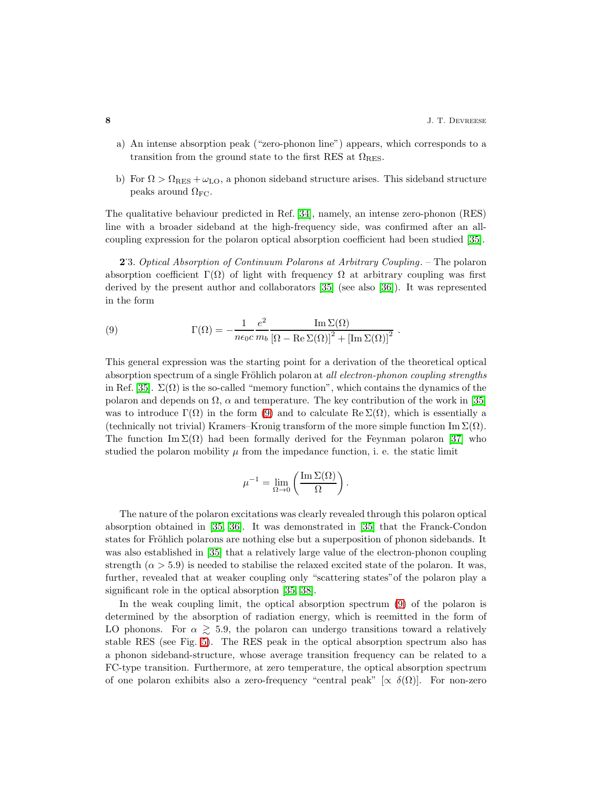.

- a) An intense absorption peak ("zero-phonon line") appears, which corresponds to a transition from the ground state to the first RES at  $\Omega_{RES}$ .
- b) For  $\Omega > \Omega_{RES} + \omega_{LO}$ , a phonon sideband structure arises. This sideband structure peaks around  $\Omega_{\text{FC}}$ .

The qualitative behaviour predicted in Ref. [\[34\]](#page-23-29), namely, an intense zero-phonon (RES) line with a broader sideband at the high-frequency side, was confirmed after an allcoupling expression for the polaron optical absorption coefficient had been studied [\[35\]](#page-23-32).

<span id="page-7-0"></span>2.3. Optical Absorption of Continuum Polarons at Arbitrary Coupling. – The polaron absorption coefficient  $\Gamma(\Omega)$  of light with frequency  $\Omega$  at arbitrary coupling was first derived by the present author and collaborators [\[35\]](#page-23-32) (see also [\[36\]](#page-23-33)). It was represented in the form

(9) 
$$
\Gamma(\Omega) = -\frac{1}{n\epsilon_0 c} \frac{e^2}{m_b} \frac{\operatorname{Im} \Sigma(\Omega)}{\left[\Omega - \operatorname{Re} \Sigma(\Omega)\right]^2 + \left[\operatorname{Im} \Sigma(\Omega)\right]^2}
$$

This general expression was the starting point for a derivation of the theoretical optical absorption spectrum of a single Fröhlich polaron at all electron-phonon coupling strengths in Ref. [\[35\]](#page-23-32).  $\Sigma(\Omega)$  is the so-called "memory function", which contains the dynamics of the polaron and depends on  $\Omega$ ,  $\alpha$  and temperature. The key contribution of the work in [\[35\]](#page-23-32) was to introduce  $\Gamma(\Omega)$  in the form [\(9\)](#page-7-0) and to calculate  $\text{Re }\Sigma(\Omega)$ , which is essentially a (technically not trivial) Kramers–Kronig transform of the more simple function Im  $\Sigma(\Omega)$ . The function Im  $\Sigma(\Omega)$  had been formally derived for the Feynman polaron [\[37\]](#page-23-34) who studied the polaron mobility  $\mu$  from the impedance function, i. e. the static limit

$$
\mu^{-1} = \lim_{\Omega \to 0} \left( \frac{\operatorname{Im} \Sigma(\Omega)}{\Omega} \right).
$$

The nature of the polaron excitations was clearly revealed through this polaron optical absorption obtained in [\[35,](#page-23-32) [36\]](#page-23-33). It was demonstrated in [\[35\]](#page-23-32) that the Franck-Condon states for Fröhlich polarons are nothing else but a superposition of phonon sidebands. It was also established in [\[35\]](#page-23-32) that a relatively large value of the electron-phonon coupling strength  $(\alpha > 5.9)$  is needed to stabilise the relaxed excited state of the polaron. It was, further, revealed that at weaker coupling only "scattering states"of the polaron play a significant role in the optical absorption [\[35,](#page-23-32) [38\]](#page-24-0).

In the weak coupling limit, the optical absorption spectrum [\(9\)](#page-7-0) of the polaron is determined by the absorption of radiation energy, which is reemitted in the form of LO phonons. For  $\alpha \gtrsim 5.9$ , the polaron can undergo transitions toward a relatively stable RES (see Fig. [5\)](#page-8-0). The RES peak in the optical absorption spectrum also has a phonon sideband-structure, whose average transition frequency can be related to a FC-type transition. Furthermore, at zero temperature, the optical absorption spectrum of one polaron exhibits also a zero-frequency "central peak" [ $\propto \delta(\Omega)$ ]. For non-zero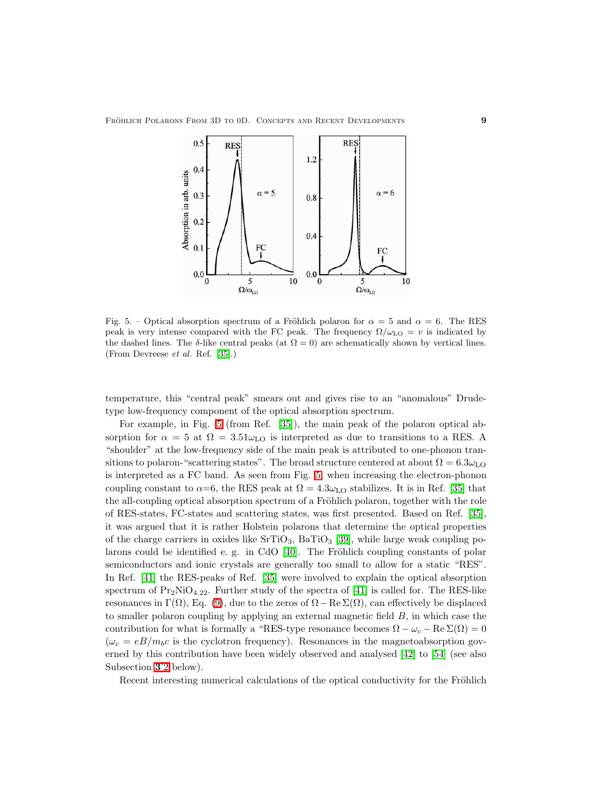

<span id="page-8-0"></span>Fig. 5. – Optical absorption spectrum of a Fröhlich polaron for  $\alpha = 5$  and  $\alpha = 6$ . The RES peak is very intense compared with the FC peak. The frequency  $\Omega/\omega_{\text{LO}} = v$  is indicated by the dashed lines. The δ-like central peaks (at  $\Omega = 0$ ) are schematically shown by vertical lines. (From Devreese et al. Ref. [\[35\]](#page-23-32).)

temperature, this "central peak" smears out and gives rise to an "anomalous" Drudetype low-frequency component of the optical absorption spectrum.

For example, in Fig. [5](#page-8-0) (from Ref. [\[35\]](#page-23-32)), the main peak of the polaron optical absorption for  $\alpha = 5$  at  $\Omega = 3.51\omega_{LO}$  is interpreted as due to transitions to a RES. A "shoulder" at the low-frequency side of the main peak is attributed to one-phonon transitions to polaron-"scattering states". The broad structure centered at about  $\Omega = 6.3 \omega_{\text{LO}}$ is interpreted as a FC band. As seen from Fig. [5,](#page-8-0) when increasing the electron-phonon coupling constant to  $\alpha=6$ , the RES peak at  $\Omega=4.3\omega_{LO}$  stabilizes. It is in Ref. [\[35\]](#page-23-32) that the all-coupling optical absorption spectrum of a Fröhlich polaron, together with the role of RES-states, FC-states and scattering states, was first presented. Based on Ref. [\[35\]](#page-23-32), it was argued that it is rather Holstein polarons that determine the optical properties of the charge carriers in oxides like  $SrTiO<sub>3</sub>$ ,  $BaTiO<sub>3</sub>$  [\[39\]](#page-24-1), while large weak coupling polarons could be identified e. g. in CdO  $[40]$ . The Fröhlich coupling constants of polar semiconductors and ionic crystals are generally too small to allow for a static "RES". In Ref. [\[41\]](#page-24-3) the RES-peaks of Ref. [\[35\]](#page-23-32) were involved to explain the optical absorption spectrum of  $Pr_2NiO_{4.22}$ . Further study of the spectra of [\[41\]](#page-24-3) is called for. The RES-like resonances in Γ(Ω), Eq. [\(9\)](#page-7-0), due to the zeros of  $\Omega - \text{Re }\Sigma(\Omega)$ , can effectively be displaced to smaller polaron coupling by applying an external magnetic field B, in which case the contribution for what is formally a "RES-type resonance becomes  $\Omega - \omega_c - \text{Re}\Sigma(\Omega) = 0$  $(\omega_c = eB/m_b c$  is the cyclotron frequency). Resonances in the magnetoabsorption governed by this contribution have been widely observed and analysed [\[42\]](#page-24-4) to [\[54\]](#page-24-5) (see also Subsection [3](#page-15-0).2 below).

Recent interesting numerical calculations of the optical conductivity for the Fröhlich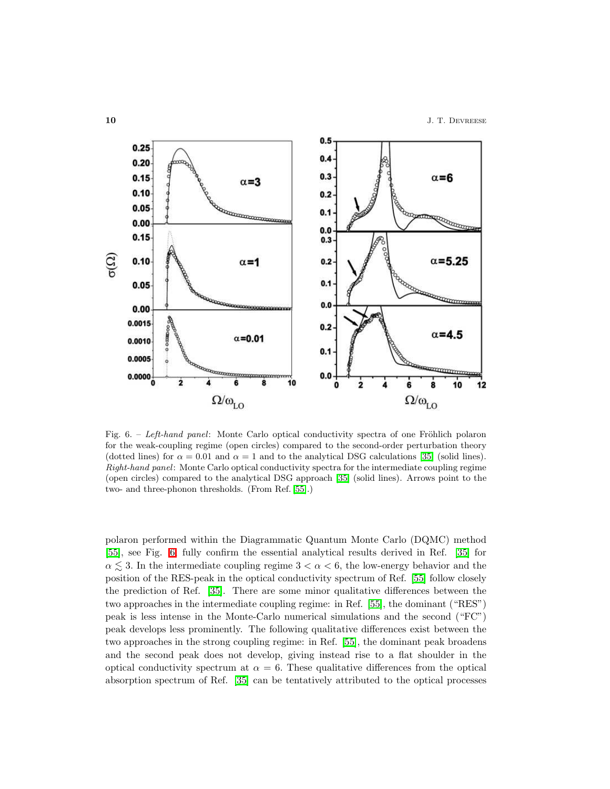

<span id="page-9-0"></span>Fig. 6. – Left-hand panel: Monte Carlo optical conductivity spectra of one Fröhlich polaron for the weak-coupling regime (open circles) compared to the second-order perturbation theory (dotted lines) for  $\alpha = 0.01$  and  $\alpha = 1$  and to the analytical DSG calculations [\[35\]](#page-23-32) (solid lines). Right-hand panel: Monte Carlo optical conductivity spectra for the intermediate coupling regime (open circles) compared to the analytical DSG approach [\[35\]](#page-23-32) (solid lines). Arrows point to the two- and three-phonon thresholds. (From Ref. [\[55\]](#page-24-6).)

polaron performed within the Diagrammatic Quantum Monte Carlo (DQMC) method [\[55\]](#page-24-6), see Fig. [6,](#page-9-0) fully confirm the essential analytical results derived in Ref. [\[35\]](#page-23-32) for  $\alpha \leq 3$ . In the intermediate coupling regime  $3 < \alpha < 6$ , the low-energy behavior and the position of the RES-peak in the optical conductivity spectrum of Ref. [\[55\]](#page-24-6) follow closely the prediction of Ref. [\[35\]](#page-23-32). There are some minor qualitative differences between the two approaches in the intermediate coupling regime: in Ref. [\[55\]](#page-24-6), the dominant ("RES") peak is less intense in the Monte-Carlo numerical simulations and the second ("FC") peak develops less prominently. The following qualitative differences exist between the two approaches in the strong coupling regime: in Ref. [\[55\]](#page-24-6), the dominant peak broadens and the second peak does not develop, giving instead rise to a flat shoulder in the optical conductivity spectrum at  $\alpha = 6$ . These qualitative differences from the optical absorption spectrum of Ref. [\[35\]](#page-23-32) can be tentatively attributed to the optical processes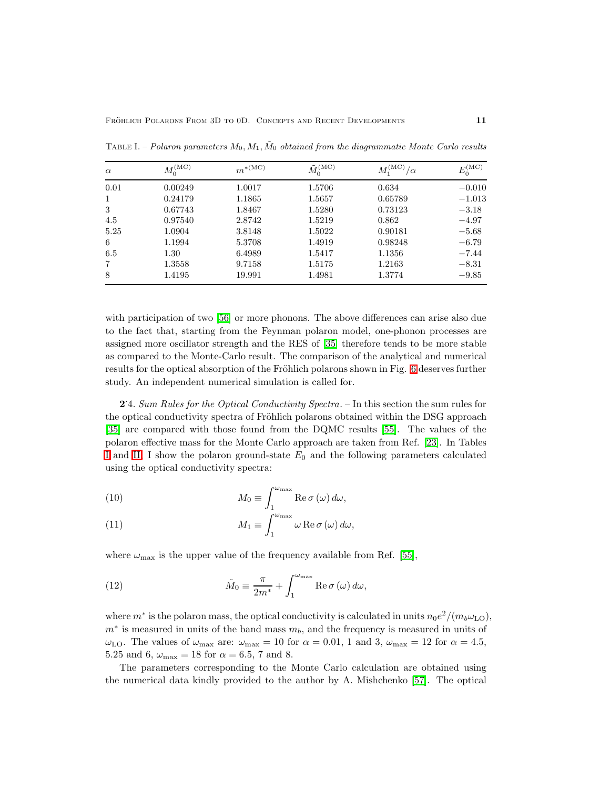| $\alpha$ | $M_0^{\rm (MC)}$ | $m^{*(MC)}$ | $\tilde{M}_0^{\text{(MC)}}$ | $M_1^{\rm (MC)}$ .<br>/ $\alpha$ | $E_0^{\text{(MC)}}$ |
|----------|------------------|-------------|-----------------------------|----------------------------------|---------------------|
| 0.01     | 0.00249          | 1.0017      | 1.5706                      | 0.634                            | $-0.010$            |
|          | 0.24179          | 1.1865      | 1.5657                      | 0.65789                          | $-1.013$            |
| 3        | 0.67743          | 1.8467      | 1.5280                      | 0.73123                          | $-3.18$             |
| 4.5      | 0.97540          | 2.8742      | 1.5219                      | 0.862                            | $-4.97$             |
| 5.25     | 1.0904           | 3.8148      | 1.5022                      | 0.90181                          | $-5.68$             |
| 6        | 1.1994           | 5.3708      | 1.4919                      | 0.98248                          | $-6.79$             |
| 6.5      | 1.30             | 6.4989      | 1.5417                      | 1.1356                           | $-7.44$             |
|          | 1.3558           | 9.7158      | 1.5175                      | 1.2163                           | $-8.31$             |
| 8        | 1.4195           | 19.991      | 1.4981                      | 1.3774                           | $-9.85$             |

<span id="page-10-0"></span>TABLE I. – Polaron parameters  $M_0, M_1, \tilde{M}_0$  obtained from the diagrammatic Monte Carlo results

with participation of two [\[56\]](#page-24-7) or more phonons. The above differences can arise also due to the fact that, starting from the Feynman polaron model, one-phonon processes are assigned more oscillator strength and the RES of [\[35\]](#page-23-32) therefore tends to be more stable as compared to the Monte-Carlo result. The comparison of the analytical and numerical results for the optical absorption of the Fröhlich polarons shown in Fig. [6](#page-9-0) deserves further study. An independent numerical simulation is called for.

2.4. Sum Rules for the Optical Conductivity Spectra. – In this section the sum rules for the optical conductivity spectra of Fröhlich polarons obtained within the DSG approach [\[35\]](#page-23-32) are compared with those found from the DQMC results [\[55\]](#page-24-6). The values of the polaron effective mass for the Monte Carlo approach are taken from Ref. [\[23\]](#page-23-20). In Tables [I](#page-10-0) and [II,](#page-11-0) I show the polaron ground-state  $E_0$  and the following parameters calculated using the optical conductivity spectra:

(10) 
$$
M_0 \equiv \int_1^{\omega_{\text{max}}} \text{Re}\,\sigma(\omega) \,d\omega,
$$

$$
M = \int_1^{\omega_{\text{max}}} \text{Re}\,\sigma(\omega) \,d\omega,
$$

(11) 
$$
M_1 \equiv \int_1^{\omega_{\text{max}}} \omega \operatorname{Re} \sigma(\omega) d\omega,
$$

<span id="page-10-1"></span>where  $\omega_{\text{max}}$  is the upper value of the frequency available from Ref. [\[55\]](#page-24-6),

(12) 
$$
\tilde{M}_0 \equiv \frac{\pi}{2m^*} + \int_1^{\omega_{\text{max}}} \text{Re}\,\sigma(\omega)\,d\omega,
$$

where  $m^*$  is the polaron mass, the optical conductivity is calculated in units  $n_0e^2/(m_b\omega_{\text{LO}})$ ,  $m^*$  is measured in units of the band mass  $m_b$ , and the frequency is measured in units of  $\omega_{\text{LO}}$ . The values of  $\omega_{\text{max}}$  are:  $\omega_{\text{max}} = 10$  for  $\alpha = 0.01$ , 1 and 3,  $\omega_{\text{max}} = 12$  for  $\alpha = 4.5$ , 5.25 and 6,  $\omega_{\text{max}} = 18$  for  $\alpha = 6.5$ , 7 and 8.

The parameters corresponding to the Monte Carlo calculation are obtained using the numerical data kindly provided to the author by A. Mishchenko [\[57\]](#page-24-8). The optical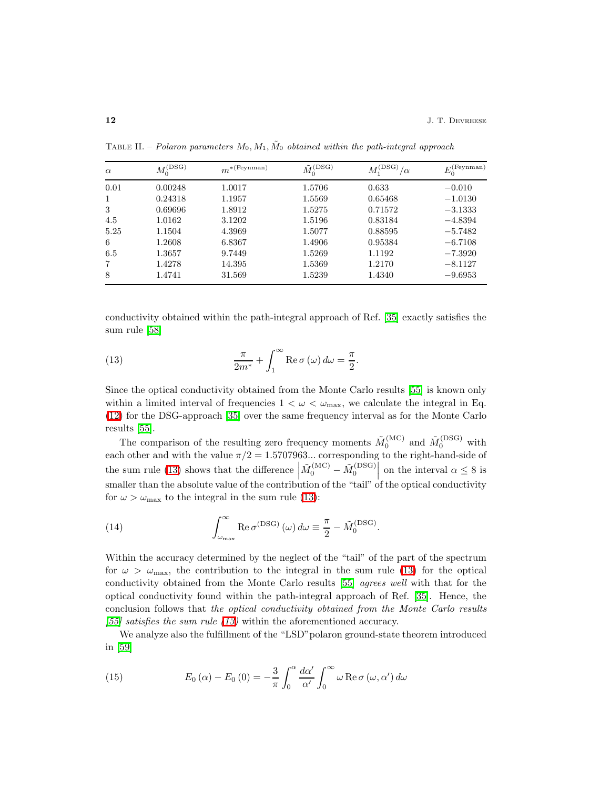| $\alpha$     | $M_0^{\rm (DSG)}$ | $m^{*(Feynman)}$ | $\tilde M_0^{(\text{DSG})}$ | $\overline{M}(\text{DSG})$<br>$/\alpha$ | $E_0^{\text{(Feynman)}}$ |
|--------------|-------------------|------------------|-----------------------------|-----------------------------------------|--------------------------|
| 0.01         | 0.00248           | 1.0017           | 1.5706                      | 0.633                                   | $-0.010$                 |
| $\mathbf{1}$ | 0.24318           | 1.1957           | 1.5569                      | 0.65468                                 | $-1.0130$                |
| 3            | 0.69696           | 1.8912           | 1.5275                      | 0.71572                                 | $-3.1333$                |
| 4.5          | 1.0162            | 3.1202           | 1.5196                      | 0.83184                                 | $-4.8394$                |
| 5.25         | 1.1504            | 4.3969           | 1.5077                      | 0.88595                                 | $-5.7482$                |
| 6            | 1.2608            | 6.8367           | 1.4906                      | 0.95384                                 | $-6.7108$                |
| 6.5          | 1.3657            | 9.7449           | 1.5269                      | 1.1192                                  | $-7.3920$                |
| 7            | 1.4278            | 14.395           | 1.5369                      | 1.2170                                  | $-8.1127$                |
| 8            | 1.4741            | 31.569           | 1.5239                      | 1.4340                                  | $-9.6953$                |

<span id="page-11-0"></span>TABLE II. – Polaron parameters  $M_0, M_1, \tilde{M}_0$  obtained within the path-integral approach

<span id="page-11-1"></span>conductivity obtained within the path-integral approach of Ref. [\[35\]](#page-23-32) exactly satisfies the sum rule [\[58\]](#page-24-9)

(13) 
$$
\frac{\pi}{2m^*} + \int_1^\infty \text{Re}\,\sigma\left(\omega\right)d\omega = \frac{\pi}{2}.
$$

Since the optical conductivity obtained from the Monte Carlo results [\[55\]](#page-24-6) is known only within a limited interval of frequencies  $1 < \omega < \omega_{\text{max}}$ , we calculate the integral in Eq. [\(12\)](#page-10-1) for the DSG-approach [\[35\]](#page-23-32) over the same frequency interval as for the Monte Carlo results [\[55\]](#page-24-6).

The comparison of the resulting zero frequency moments  $\tilde{M}_0^{(\text{MC})}$  and  $\tilde{M}_0^{(\text{DSG})}$  with each other and with the value  $\pi/2 = 1.5707963...$  corresponding to the right-hand-side of the sum rule [\(13\)](#page-11-1) shows that the difference  $\left|\tilde{M}_0^{(\text{MC})} - \tilde{M}_0^{(\text{DSG})}\right|$  on the interval  $\alpha \leq 8$  is smaller than the absolute value of the contribution of the "tail" of the optical conductivity for  $\omega > \omega_{\text{max}}$  to the integral in the sum rule [\(13\)](#page-11-1):

(14) 
$$
\int_{\omega_{\text{max}}}^{\infty} \text{Re}\,\sigma^{(\text{DSG})}(\omega) d\omega \equiv \frac{\pi}{2} - \tilde{M}_0^{(\text{DSG})}.
$$

Within the accuracy determined by the neglect of the "tail" of the part of the spectrum for  $\omega > \omega_{\text{max}}$ , the contribution to the integral in the sum rule [\(13\)](#page-11-1) for the optical conductivity obtained from the Monte Carlo results [\[55\]](#page-24-6) agrees well with that for the optical conductivity found within the path-integral approach of Ref. [\[35\]](#page-23-32). Hence, the conclusion follows that the optical conductivity obtained from the Monte Carlo results  $[55]$  satisfies the sum rule  $(13)$  within the aforementioned accuracy.

<span id="page-11-2"></span>We analyze also the fulfillment of the "LSD"polaron ground-state theorem introduced in [\[59\]](#page-24-10)

(15) 
$$
E_0(\alpha) - E_0(0) = -\frac{3}{\pi} \int_0^{\alpha} \frac{d\alpha'}{\alpha'} \int_0^{\infty} \omega \operatorname{Re} \sigma(\omega, \alpha') d\omega
$$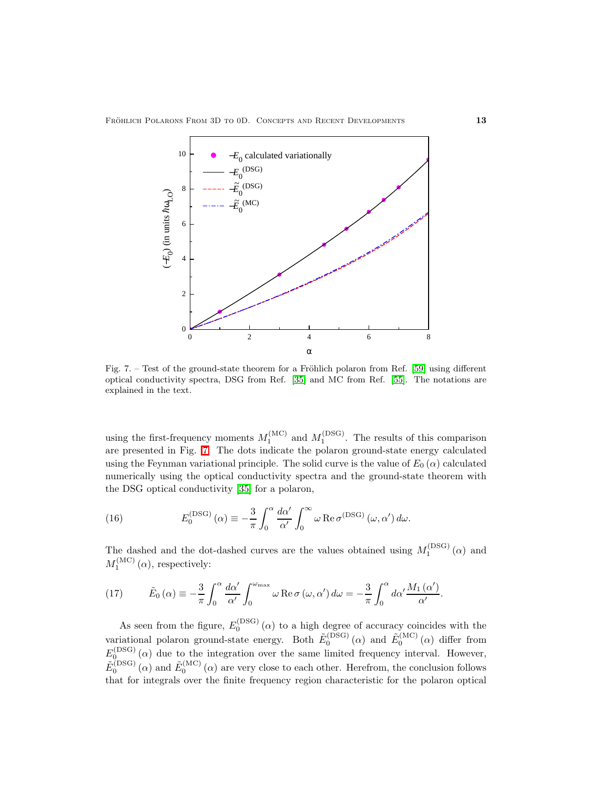

<span id="page-12-0"></span>Fig. 7. – Test of the ground-state theorem for a Fröhlich polaron from Ref.  $[59]$  using different optical conductivity spectra, DSG from Ref. [\[35\]](#page-23-32) and MC from Ref. [\[55\]](#page-24-6). The notations are explained in the text.

using the first-frequency moments  $M_1^{(MC)}$  and  $M_1^{(DSG)}$ . The results of this comparison are presented in Fig. [7.](#page-12-0) The dots indicate the polaron ground-state energy calculated using the Feynman variational principle. The solid curve is the value of  $E_0(\alpha)$  calculated numerically using the optical conductivity spectra and the ground-state theorem with the DSG optical conductivity [\[35\]](#page-23-32) for a polaron,

(16) 
$$
E_0^{\text{(DSG)}}(\alpha) \equiv -\frac{3}{\pi} \int_0^{\alpha} \frac{d\alpha'}{\alpha'} \int_0^{\infty} \omega \operatorname{Re} \sigma^{\text{(DSG)}}(\omega, \alpha') d\omega.
$$

<span id="page-12-1"></span>The dashed and the dot-dashed curves are the values obtained using  $M_1^{\rm (DSG)}(\alpha)$  and  $M_1^{(\mathrm{MC})}(\alpha)$ , respectively:

(17) 
$$
\tilde{E}_0(\alpha) \equiv -\frac{3}{\pi} \int_0^{\alpha} \frac{d\alpha'}{\alpha'} \int_0^{\omega_{\text{max}}} \omega \operatorname{Re} \sigma(\omega, \alpha') d\omega = -\frac{3}{\pi} \int_0^{\alpha} d\alpha' \frac{M_1(\alpha')}{\alpha'}.
$$

As seen from the figure,  $E_0^{\text{(DSG)}}(\alpha)$  to a high degree of accuracy coincides with the variational polaron ground-state energy. Both  $\tilde{E}_0^{(DSG)}(\alpha)$  and  $\tilde{E}_0^{(MC)}(\alpha)$  differ from  $E_0^{(DSG)}(\alpha)$  due to the integration over the same limited frequency interval. However,  $\tilde{E}_0^{(DSG)}(\alpha)$  and  $\tilde{E}_0^{(MC)}(\alpha)$  are very close to each other. Herefrom, the conclusion follows that for integrals over the finite frequency region characteristic for the polaron optical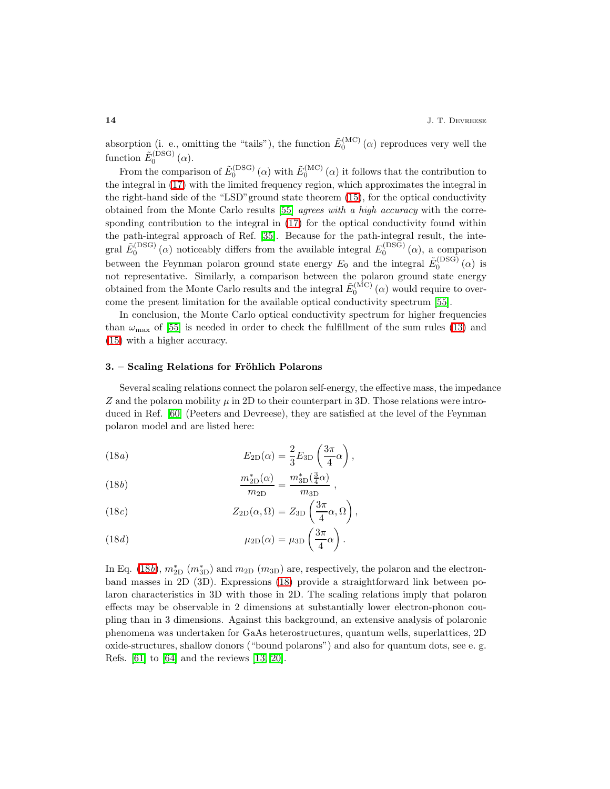absorption (i. e., omitting the "tails"), the function  $\tilde{E}_0^{(MC)}(\alpha)$  reproduces very well the function  $\tilde{E}_0^{\left(DSG\right)}\left(\alpha\right)$ .

From the comparison of  $\tilde{E}_0^{(DSG)}(\alpha)$  with  $\tilde{E}_0^{(MC)}(\alpha)$  it follows that the contribution to the integral in [\(17\)](#page-12-1) with the limited frequency region, which approximates the integral in the right-hand side of the "LSD"ground state theorem [\(15\)](#page-11-2), for the optical conductivity obtained from the Monte Carlo results [\[55\]](#page-24-6) agrees with a high accuracy with the corresponding contribution to the integral in [\(17\)](#page-12-1) for the optical conductivity found within the path-integral approach of Ref. [\[35\]](#page-23-32). Because for the path-integral result, the integral  $\tilde{E}_0^{(DSG)}(\alpha)$  noticeably differs from the available integral  $E_0^{(DSG)}(\alpha)$ , a comparison between the Feynman polaron ground state energy  $E_0$  and the integral  $\tilde{E}_0^{\text{(DSG)}}(\alpha)$  is not representative. Similarly, a comparison between the polaron ground state energy obtained from the Monte Carlo results and the integral  $\tilde{E}_0^{(\mathrm{MC})}(\alpha)$  would require to overcome the present limitation for the available optical conductivity spectrum [\[55\]](#page-24-6).

In conclusion, the Monte Carlo optical conductivity spectrum for higher frequencies than  $\omega_{\text{max}}$  of [\[55\]](#page-24-6) is needed in order to check the fulfillment of the sum rules [\(13\)](#page-11-1) and [\(15\)](#page-11-2) with a higher accuracy.

## 3. – Scaling Relations for Fröhlich Polarons

Several scaling relations connect the polaron self-energy, the effective mass, the impedance Z and the polaron mobility  $\mu$  in 2D to their counterpart in 3D. Those relations were introduced in Ref. [\[60\]](#page-24-11) (Peeters and Devreese), they are satisfied at the level of the Feynman polaron model and are listed here:

<span id="page-13-0"></span>(18*a*) 
$$
E_{2D}(\alpha) = \frac{2}{3} E_{3D} \left( \frac{3\pi}{4} \alpha \right),
$$

(18*b*) 
$$
\frac{m_{2D}^*(\alpha)}{m_{2D}} = \frac{m_{3D}^*(\frac{3}{4}\alpha)}{m_{3D}},
$$

(18*c*) 
$$
Z_{2D}(\alpha,\Omega) = Z_{3D}\left(\frac{3\pi}{4}\alpha,\Omega\right),
$$

(18*d*) 
$$
\mu_{2D}(\alpha) = \mu_{3D} \left( \frac{3\pi}{4} \alpha \right).
$$

In Eq. [\(18](#page-13-0)b),  $m_{2D}^*$  ( $m_{3D}^*$ ) and  $m_{2D}$  ( $m_{3D}$ ) are, respectively, the polaron and the electronband masses in 2D (3D). Expressions [\(18\)](#page-13-0) provide a straightforward link between polaron characteristics in 3D with those in 2D. The scaling relations imply that polaron effects may be observable in 2 dimensions at substantially lower electron-phonon coupling than in 3 dimensions. Against this background, an extensive analysis of polaronic phenomena was undertaken for GaAs heterostructures, quantum wells, superlattices, 2D oxide-structures, shallow donors ("bound polarons") and also for quantum dots, see e. g. Refs. [\[61\]](#page-24-12) to [\[64\]](#page-24-13) and the reviews [\[13,](#page-23-10) [20\]](#page-23-18).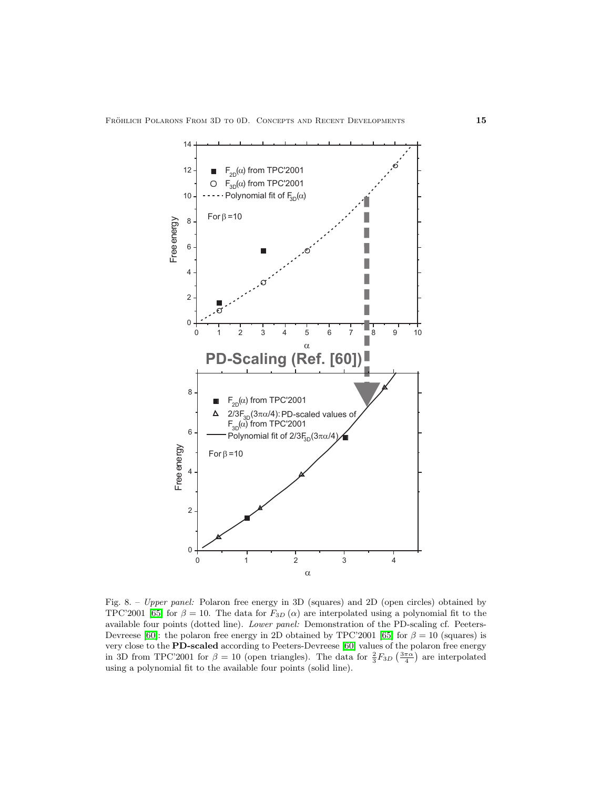

<span id="page-14-0"></span>Fig. 8. – Upper panel: Polaron free energy in 3D (squares) and 2D (open circles) obtained by TPC'2001 [\[65\]](#page-24-14) for  $\beta = 10$ . The data for  $F_{3D}(\alpha)$  are interpolated using a polynomial fit to the available four points (dotted line). Lower panel: Demonstration of the PD-scaling cf. Peeters-Devreese [\[60\]](#page-24-11): the polaron free energy in 2D obtained by TPC'2001 [\[65\]](#page-24-14) for  $\beta = 10$  (squares) is very close to the PD-scaled according to Peeters-Devreese [\[60\]](#page-24-11) values of the polaron free energy in 3D from TPC'2001 for  $\beta = 10$  (open triangles). The data for  $\frac{2}{3}F_{3D}\left(\frac{3\pi\alpha}{4}\right)$  are interpolated using a polynomial fit to the available four points (solid line).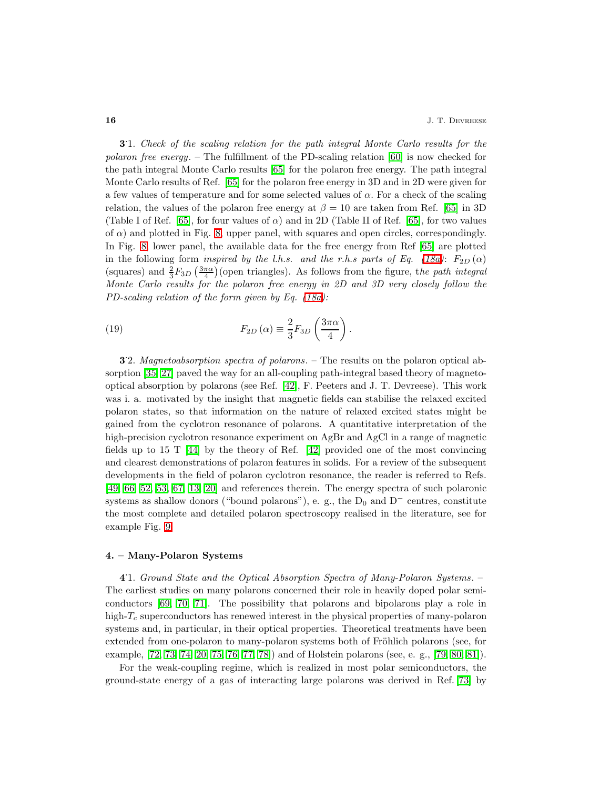3.1. Check of the scaling relation for the path integral Monte Carlo results for the polaron free energy. – The fulfillment of the PD-scaling relation [\[60\]](#page-24-11) is now checked for the path integral Monte Carlo results [\[65\]](#page-24-14) for the polaron free energy. The path integral Monte Carlo results of Ref. [\[65\]](#page-24-14) for the polaron free energy in 3D and in 2D were given for a few values of temperature and for some selected values of  $\alpha$ . For a check of the scaling relation, the values of the polaron free energy at  $\beta = 10$  are taken from Ref. [\[65\]](#page-24-14) in 3D (Table I of Ref. [\[65\]](#page-24-14), for four values of  $\alpha$ ) and in 2D (Table II of Ref. [65], for two values of  $\alpha$ ) and plotted in Fig. [8,](#page-14-0) upper panel, with squares and open circles, correspondingly. In Fig. [8,](#page-14-0) lower panel, the available data for the free energy from Ref [\[65\]](#page-24-14) are plotted in the following form *inspired by the l.h.s.* and the r.h.s parts of Eq. [\(18a\)](#page-13-0):  $F_{2D}(\alpha)$ (squares) and  $\frac{2}{3}F_{3D}\left(\frac{3\pi\alpha}{4}\right)$  (open triangles). As follows from the figure, the path integral Monte Carlo results for the polaron free energy in 2D and 3D very closely follow the PD-scaling relation of the form given by Eq. [\(18a\)](#page-13-0):

(19) 
$$
F_{2D}\left(\alpha\right) \equiv \frac{2}{3}F_{3D}\left(\frac{3\pi\alpha}{4}\right).
$$

<span id="page-15-0"></span>3. 2. Magnetoabsorption spectra of polarons. – The results on the polaron optical absorption [\[35,](#page-23-32) [27\]](#page-23-24) paved the way for an all-coupling path-integral based theory of magnetooptical absorption by polarons (see Ref. [\[42\]](#page-24-4), F. Peeters and J. T. Devreese). This work was i. a. motivated by the insight that magnetic fields can stabilise the relaxed excited polaron states, so that information on the nature of relaxed excited states might be gained from the cyclotron resonance of polarons. A quantitative interpretation of the high-precision cyclotron resonance experiment on AgBr and AgCl in a range of magnetic fields up to 15 T  $[44]$  by the theory of Ref.  $[42]$  provided one of the most convincing and clearest demonstrations of polaron features in solids. For a review of the subsequent developments in the field of polaron cyclotron resonance, the reader is referred to Refs. [\[49,](#page-24-16) [66,](#page-24-17) [52,](#page-24-18) [53,](#page-24-19) [67,](#page-24-20) [13,](#page-23-10) [20\]](#page-23-18) and references therein. The energy spectra of such polaronic systems as shallow donors ("bound polarons"), e. g., the  $D_0$  and  $D^-$  centres, constitute the most complete and detailed polaron spectroscopy realised in the literature, see for example Fig. [9.](#page-16-0)

## 4. – Many-Polaron Systems

4 . 1. Ground State and the Optical Absorption Spectra of Many-Polaron Systems. – The earliest studies on many polarons concerned their role in heavily doped polar semiconductors [\[69,](#page-24-21) [70,](#page-24-22) [71\]](#page-25-0). The possibility that polarons and bipolarons play a role in high- $T_c$  superconductors has renewed interest in the physical properties of many-polaron systems and, in particular, in their optical properties. Theoretical treatments have been extended from one-polaron to many-polaron systems both of Fröhlich polarons (see, for example, [\[72,](#page-25-1) [73,](#page-25-2) [74,](#page-25-3) [20,](#page-23-18) [75,](#page-25-4) [76,](#page-25-5) [77,](#page-25-6) [78\]](#page-25-7)) and of Holstein polarons (see, e. g., [\[79,](#page-25-8) [80,](#page-25-9) [81\]](#page-25-10)).

For the weak-coupling regime, which is realized in most polar semiconductors, the ground-state energy of a gas of interacting large polarons was derived in Ref. [\[73\]](#page-25-2) by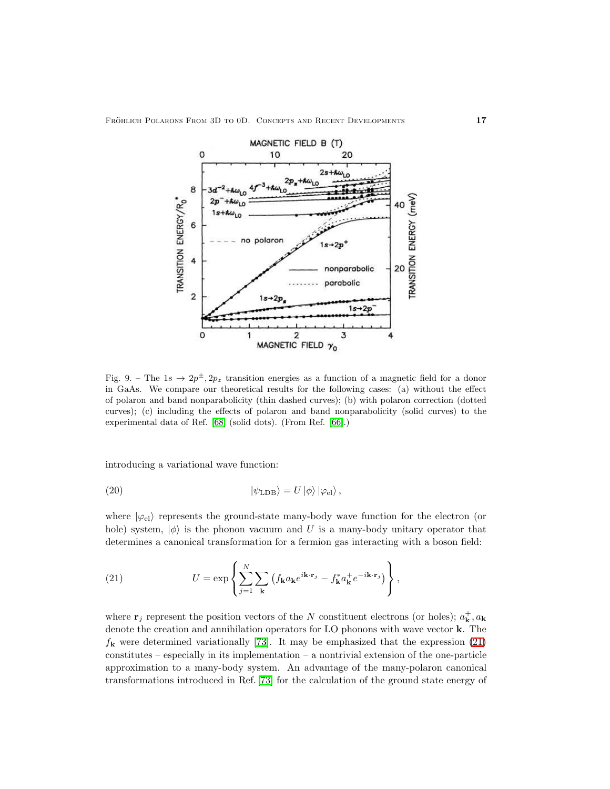

<span id="page-16-0"></span>Fig. 9. – The  $1s \to 2p^{\pm}, 2p_z$  transition energies as a function of a magnetic field for a donor in GaAs. We compare our theoretical results for the following cases: (a) without the effect of polaron and band nonparabolicity (thin dashed curves); (b) with polaron correction (dotted curves); (c) including the effects of polaron and band nonparabolicity (solid curves) to the experimental data of Ref. [\[68\]](#page-24-23) (solid dots). (From Ref. [\[66\]](#page-24-17).)

introducing a variational wave function:

(20) 
$$
\langle \psi_{\rm LDB} \rangle = U |\phi\rangle |\varphi_{\rm el}\rangle ,
$$

<span id="page-16-1"></span>where  $|\varphi_{\text{el}}\rangle$  represents the ground-state many-body wave function for the electron (or hole) system,  $|\phi\rangle$  is the phonon vacuum and U is a many-body unitary operator that determines a canonical transformation for a fermion gas interacting with a boson field:

(21) 
$$
U = \exp\left\{\sum_{j=1}^{N} \sum_{\mathbf{k}} \left(f_{\mathbf{k}} a_{\mathbf{k}} e^{i\mathbf{k}\cdot\mathbf{r}_j} - f_{\mathbf{k}}^* a_{\mathbf{k}}^+ e^{-i\mathbf{k}\cdot\mathbf{r}_j}\right)\right\},
$$

where  $\mathbf{r}_j$  represent the position vectors of the N constituent electrons (or holes);  $a_{\mathbf{k}}^{+}$ ,  $a_{\mathbf{k}}$ denote the creation and annihilation operators for LO phonons with wave vector k. The  $f_{\bf k}$  were determined variationally [\[73\]](#page-25-2). It may be emphasized that the expression [\(21\)](#page-16-1)  $constitutes$  – especially in its implementation – a nontrivial extension of the one-particle approximation to a many-body system. An advantage of the many-polaron canonical transformations introduced in Ref. [\[73\]](#page-25-2) for the calculation of the ground state energy of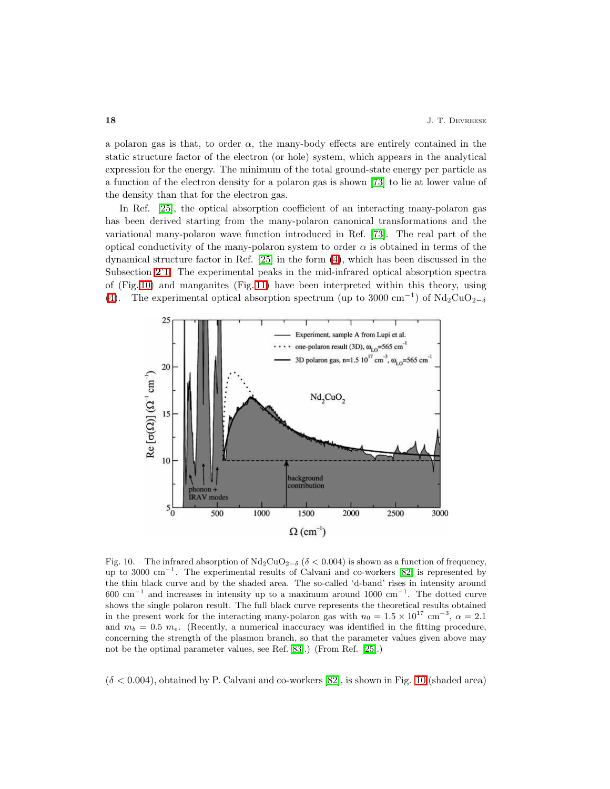a polaron gas is that, to order  $\alpha$ , the many-body effects are entirely contained in the static structure factor of the electron (or hole) system, which appears in the analytical expression for the energy. The minimum of the total ground-state energy per particle as a function of the electron density for a polaron gas is shown [\[73\]](#page-25-2) to lie at lower value of the density than that for the electron gas.

In Ref. [\[25\]](#page-23-22), the optical absorption coefficient of an interacting many-polaron gas has been derived starting from the many-polaron canonical transformations and the variational many-polaron wave function introduced in Ref. [\[73\]](#page-25-2). The real part of the optical conductivity of the many-polaron system to order  $\alpha$  is obtained in terms of the dynamical structure factor in Ref. [\[25\]](#page-23-22) in the form [\(4\)](#page-3-1), which has been discussed in the  $\frac{1}{2}$ . The experimental peaks in the mid-infrared optical absorption spectra of (Fig. [10\)](#page-17-0) and manganites (Fig. [11\)](#page-18-0) have been interpreted within this theory, using [\(4\)](#page-3-1). The experimental optical absorption spectrum (up to 3000 cm<sup>-1</sup>) of  $\text{Nd}_2\text{CuO}_{2-\delta}$ 



<span id="page-17-0"></span>Fig. 10. – The infrared absorption of  $Nd_2CuO_{2-\delta}$  ( $\delta < 0.004$ ) is shown as a function of frequency, up to 3000 cm<sup>−</sup><sup>1</sup> . The experimental results of Calvani and co-workers [\[82\]](#page-25-11) is represented by the thin black curve and by the shaded area. The so-called 'd-band' rises in intensity around 600 cm<sup>−</sup><sup>1</sup> and increases in intensity up to a maximum around 1000 cm<sup>−</sup><sup>1</sup> . The dotted curve shows the single polaron result. The full black curve represents the theoretical results obtained in the present work for the interacting many-polaron gas with  $n_0 = 1.5 \times 10^{17}$  cm<sup>-3</sup>,  $\alpha = 2.1$ and  $m_b = 0.5$   $m_e$ . (Recently, a numerical inaccuracy was identified in the fitting procedure, concerning the strength of the plasmon branch, so that the parameter values given above may not be the optimal parameter values, see Ref. [\[83\]](#page-25-12).) (From Ref. [\[25\]](#page-23-22).)

 $(\delta < 0.004)$ , obtained by P. Calvani and co-workers [\[82\]](#page-25-11), is shown in Fig. [10](#page-17-0) (shaded area)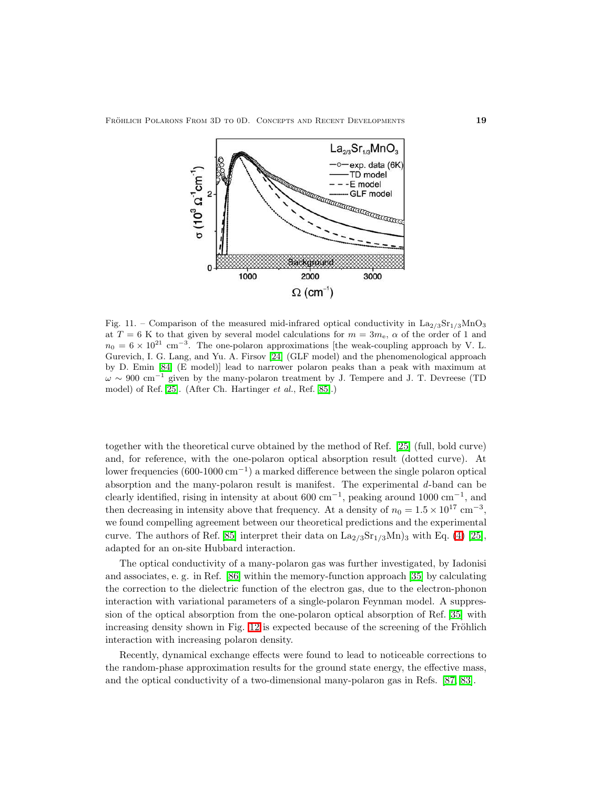

<span id="page-18-0"></span>Fig. 11. – Comparison of the measured mid-infrared optical conductivity in  $\text{La}_{2/3}\text{Sr}_{1/3}\text{MnO}_3$ at  $T = 6$  K to that given by several model calculations for  $m = 3m_e$ ,  $\alpha$  of the order of 1 and  $n_0 = 6 \times 10^{21}$  cm<sup>-3</sup>. The one-polaron approximations [the weak-coupling approach by V. L. Gurevich, I. G. Lang, and Yu. A. Firsov [\[24\]](#page-23-21) (GLF model) and the phenomenological approach by D. Emin [\[84\]](#page-25-13) (E model)] lead to narrower polaron peaks than a peak with maximum at  $\omega \sim 900 \text{ cm}^{-1}$  given by the many-polaron treatment by J. Tempere and J. T. Devreese (TD) model) of Ref. [\[25\]](#page-23-22). (After Ch. Hartinger et al., Ref. [\[85\]](#page-25-14).)

together with the theoretical curve obtained by the method of Ref. [\[25\]](#page-23-22) (full, bold curve) and, for reference, with the one-polaron optical absorption result (dotted curve). At lower frequencies (600-1000 cm<sup>−</sup><sup>1</sup> ) a marked difference between the single polaron optical absorption and the many-polaron result is manifest. The experimental d-band can be clearly identified, rising in intensity at about  $600 \text{ cm}^{-1}$ , peaking around  $1000 \text{ cm}^{-1}$ , and then decreasing in intensity above that frequency. At a density of  $n_0 = 1.5 \times 10^{17}$  cm<sup>-3</sup>, we found compelling agreement between our theoretical predictions and the experimental curve. The authors of Ref. [\[85\]](#page-25-14) interpret their data on  $\text{La}_{2/3}\text{Sr}_{1/3}\text{Mn})_3$  with Eq. [\(4\)](#page-3-1) [\[25\]](#page-23-22), adapted for an on-site Hubbard interaction.

The optical conductivity of a many-polaron gas was further investigated, by Iadonisi and associates, e. g. in Ref. [\[86\]](#page-25-15) within the memory-function approach [\[35\]](#page-23-32) by calculating the correction to the dielectric function of the electron gas, due to the electron-phonon interaction with variational parameters of a single-polaron Feynman model. A suppression of the optical absorption from the one-polaron optical absorption of Ref. [\[35\]](#page-23-32) with increasing density shown in Fig. [12](#page-19-0) is expected because of the screening of the Fröhlich interaction with increasing polaron density.

Recently, dynamical exchange effects were found to lead to noticeable corrections to the random-phase approximation results for the ground state energy, the effective mass, and the optical conductivity of a two-dimensional many-polaron gas in Refs. [\[87,](#page-25-16) [83\]](#page-25-12).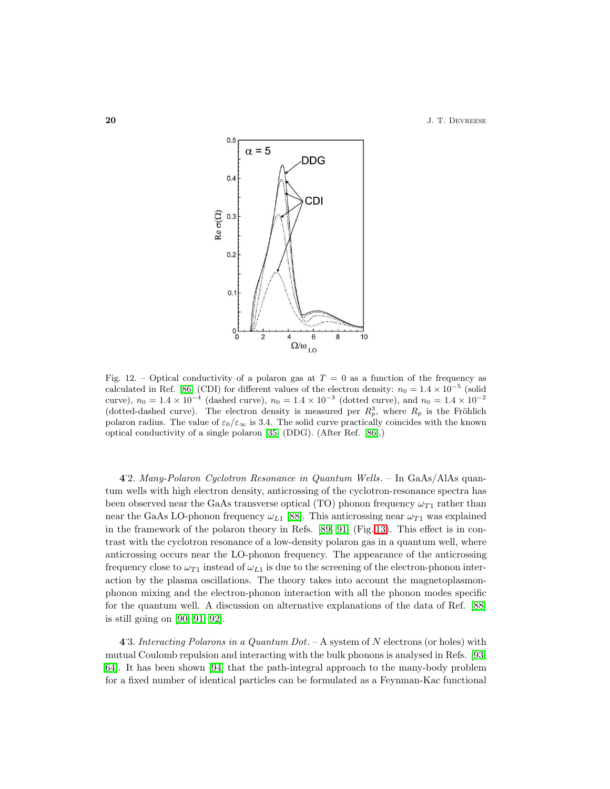**20** J. T. DEVREESE



<span id="page-19-0"></span>Fig. 12. – Optical conductivity of a polaron gas at  $T = 0$  as a function of the frequency as calculated in Ref. [\[86\]](#page-25-15) (CDI) for different values of the electron density:  $n_0 = 1.4 \times 10^{-5}$  (solid curve),  $n_0 = 1.4 \times 10^{-4}$  (dashed curve),  $n_0 = 1.4 \times 10^{-3}$  (dotted curve), and  $n_0 = 1.4 \times 10^{-2}$ <br>(dotted-dashed curve). The electron density is measured per  $R_p^3$ , where  $R_p$  is the Fröhlich polaron radius. The value of  $\varepsilon_0/\varepsilon_\infty$  is 3.4. The solid curve practically coincides with the known optical conductivity of a single polaron [\[35\]](#page-23-32) (DDG). (After Ref. [\[86\]](#page-25-15).)

4 . 2. Many-Polaron Cyclotron Resonance in Quantum Wells. – In GaAs/AlAs quantum wells with high electron density, anticrossing of the cyclotron-resonance spectra has been observed near the GaAs transverse optical (TO) phonon frequency  $\omega_{T1}$  rather than near the GaAs LO-phonon frequency  $\omega_{L1}$  [\[88\]](#page-25-17). This anticrossing near  $\omega_{T1}$  was explained in the framework of the polaron theory in Refs. [\[89,](#page-25-18) [91\]](#page-25-19) (Fig. [13\)](#page-20-0). This effect is in contrast with the cyclotron resonance of a low-density polaron gas in a quantum well, where anticrossing occurs near the LO-phonon frequency. The appearance of the anticrossing frequency close to  $\omega_{T1}$  instead of  $\omega_{L1}$  is due to the screening of the electron-phonon interaction by the plasma oscillations. The theory takes into account the magnetoplasmonphonon mixing and the electron-phonon interaction with all the phonon modes specific for the quantum well. A discussion on alternative explanations of the data of Ref. [\[88\]](#page-25-17) is still going on [\[90,](#page-25-20) [91,](#page-25-19) [92\]](#page-25-21).

4.3. Interacting Polarons in a Quantum Dot. – A system of N electrons (or holes) with mutual Coulomb repulsion and interacting with the bulk phonons is analysed in Refs. [\[93,](#page-25-22) [64\]](#page-24-13). It has been shown [\[94\]](#page-25-23) that the path-integral approach to the many-body problem for a fixed number of identical particles can be formulated as a Feynman-Kac functional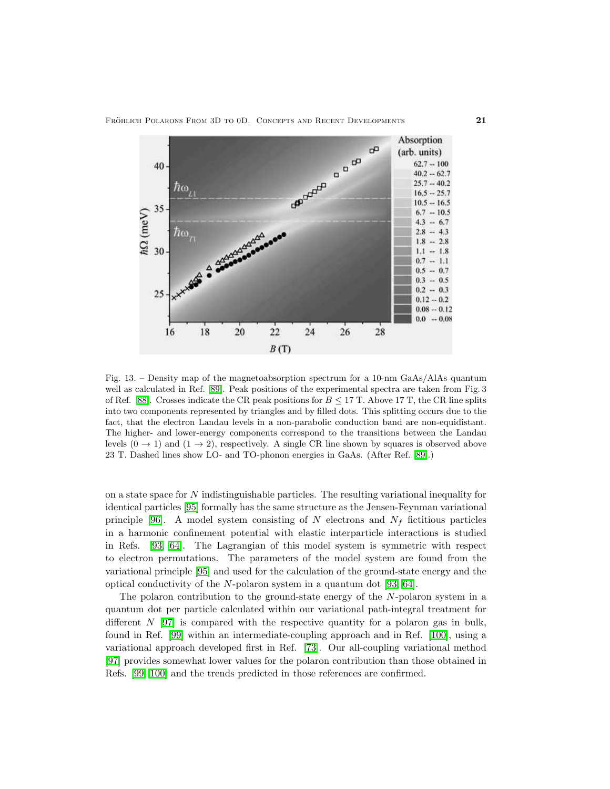FRÖHLICH POLARONS FROM 3D TO 0D. CONCEPTS AND RECENT DEVELOPMENTS  $21$ 



<span id="page-20-0"></span>Fig. 13. – Density map of the magnetoabsorption spectrum for a 10-nm GaAs/AlAs quantum well as calculated in Ref. [\[89\]](#page-25-18). Peak positions of the experimental spectra are taken from Fig. 3 of Ref. [\[88\]](#page-25-17). Crosses indicate the CR peak positions for  $B \leq 17$  T. Above 17 T, the CR line splits into two components represented by triangles and by filled dots. This splitting occurs due to the fact, that the electron Landau levels in a non-parabolic conduction band are non-equidistant. The higher- and lower-energy components correspond to the transitions between the Landau levels  $(0 \rightarrow 1)$  and  $(1 \rightarrow 2)$ , respectively. A single CR line shown by squares is observed above 23 T. Dashed lines show LO- and TO-phonon energies in GaAs. (After Ref. [\[89\]](#page-25-18).)

on a state space for  $N$  indistinguishable particles. The resulting variational inequality for identical particles [\[95\]](#page-25-24) formally has the same structure as the Jensen-Feynman variational principle [\[96\]](#page-25-25). A model system consisting of N electrons and  $N_f$  fictitious particles in a harmonic confinement potential with elastic interparticle interactions is studied in Refs. [\[93,](#page-25-22) [64\]](#page-24-13). The Lagrangian of this model system is symmetric with respect to electron permutations. The parameters of the model system are found from the variational principle [\[95\]](#page-25-24) and used for the calculation of the ground-state energy and the optical conductivity of the N-polaron system in a quantum dot [\[93,](#page-25-22) [64\]](#page-24-13).

The polaron contribution to the ground-state energy of the N-polaron system in a quantum dot per particle calculated within our variational path-integral treatment for different  $N$  [\[97\]](#page-25-26) is compared with the respective quantity for a polaron gas in bulk, found in Ref. [\[99\]](#page-25-27) within an intermediate-coupling approach and in Ref. [\[100\]](#page-25-28), using a variational approach developed first in Ref. [\[73\]](#page-25-2). Our all-coupling variational method [\[97\]](#page-25-26) provides somewhat lower values for the polaron contribution than those obtained in Refs. [\[99,](#page-25-27) [100\]](#page-25-28) and the trends predicted in those references are confirmed.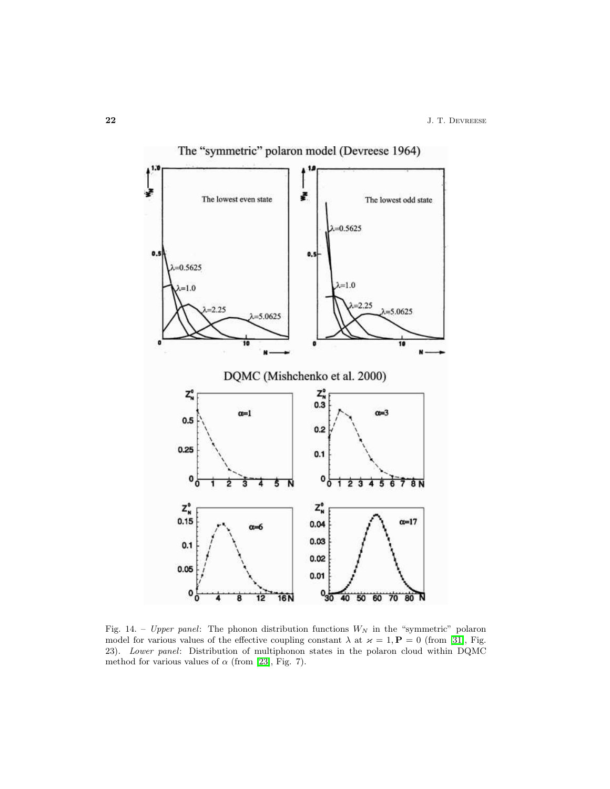

<span id="page-21-0"></span>Fig. 14. – Upper panel: The phonon distribution functions  $W_N$  in the "symmetric" polaron model for various values of the effective coupling constant  $\lambda$  at  $\varkappa = 1$ ,  $\mathbf{P} = 0$  (from [\[31\]](#page-23-26), Fig. 23). Lower panel: Distribution of multiphonon states in the polaron cloud within DQMC method for various values of  $\alpha$  (from [\[23\]](#page-23-20), Fig. 7).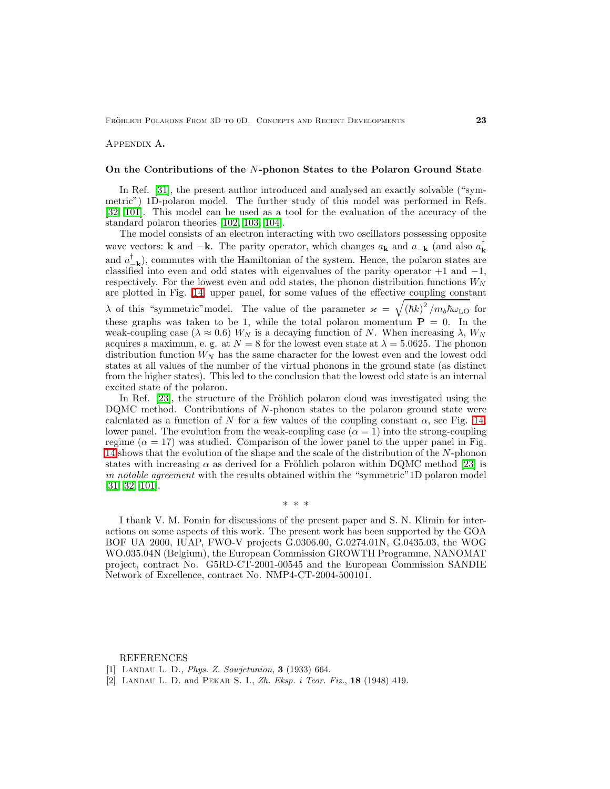<span id="page-22-2"></span>Appendix A.

## On the Contributions of the N-phonon States to the Polaron Ground State

In Ref. [\[31\]](#page-23-26), the present author introduced and analysed an exactly solvable ("symmetric") 1D-polaron model. The further study of this model was performed in Refs. [\[32,](#page-23-27) [101\]](#page-25-29). This model can be used as a tool for the evaluation of the accuracy of the standard polaron theories [\[102,](#page-25-30) [103,](#page-25-31) [104\]](#page-25-32).

The model consists of an electron interacting with two oscillators possessing opposite wave vectors: **k** and  $-\mathbf{k}$ . The parity operator, which changes  $a_{\mathbf{k}}$  and  $a_{-\mathbf{k}}$  (and also  $a_{\mathbf{k}}^{\dagger}$ and  $a_{-\mathbf{k}}^{\dagger}$ , commutes with the Hamiltonian of the system. Hence, the polaron states are classified into even and odd states with eigenvalues of the parity operator  $+1$  and  $-1$ , respectively. For the lowest even and odd states, the phonon distribution functions  $W_N$ are plotted in Fig. [14,](#page-21-0) upper panel, for some values of the effective coupling constant λ of this "symmetric" model. The value of the parameter  $\varkappa = \sqrt{(\hbar k)^2/m_b\hbar\omega_{LO}}$  for these graphs was taken to be 1, while the total polaron momentum  $P = 0$ . In the weak-coupling case ( $\lambda \approx 0.6$ ) W<sub>N</sub> is a decaying function of N. When increasing  $\lambda$ , W<sub>N</sub> acquires a maximum, e. g. at  $N = 8$  for the lowest even state at  $\lambda = 5.0625$ . The phonon distribution function  $W_N$  has the same character for the lowest even and the lowest odd states at all values of the number of the virtual phonons in the ground state (as distinct from the higher states). This led to the conclusion that the lowest odd state is an internal excited state of the polaron.

In Ref.  $[23]$ , the structure of the Fröhlich polaron cloud was investigated using the DQMC method. Contributions of N-phonon states to the polaron ground state were calculated as a function of N for a few values of the coupling constant  $\alpha$ , see Fig. [14,](#page-21-0) lower panel. The evolution from the weak-coupling case  $(\alpha = 1)$  into the strong-coupling regime ( $\alpha = 17$ ) was studied. Comparison of the lower panel to the upper panel in Fig. [14](#page-21-0) shows that the evolution of the shape and the scale of the distribution of the N-phonon states with increasing  $\alpha$  as derived for a Fröhlich polaron within DQMC method [\[23\]](#page-23-20) is in notable agreement with the results obtained within the "symmetric" 1D polaron model [\[31,](#page-23-26) [32,](#page-23-27) [101\]](#page-25-29).

I thank V. M. Fomin for discussions of the present paper and S. N. Klimin for interactions on some aspects of this work. The present work has been supported by the GOA BOF UA 2000, IUAP, FWO-V projects G.0306.00, G.0274.01N, G.0435.03, the WOG WO.035.04N (Belgium), the European Commission GROWTH Programme, NANOMAT project, contract No. G5RD-CT-2001-00545 and the European Commission SANDIE Network of Excellence, contract No. NMP4-CT-2004-500101.

∗ ∗ ∗

#### REFERENCES

- <span id="page-22-1"></span><span id="page-22-0"></span>[1] LANDAU L. D., *Phys. Z. Sowjetunion*, **3** (1933) 664.
- [2] LANDAU L. D. and PEKAR S. I., Zh. Eksp. i Teor. Fiz., 18 (1948) 419.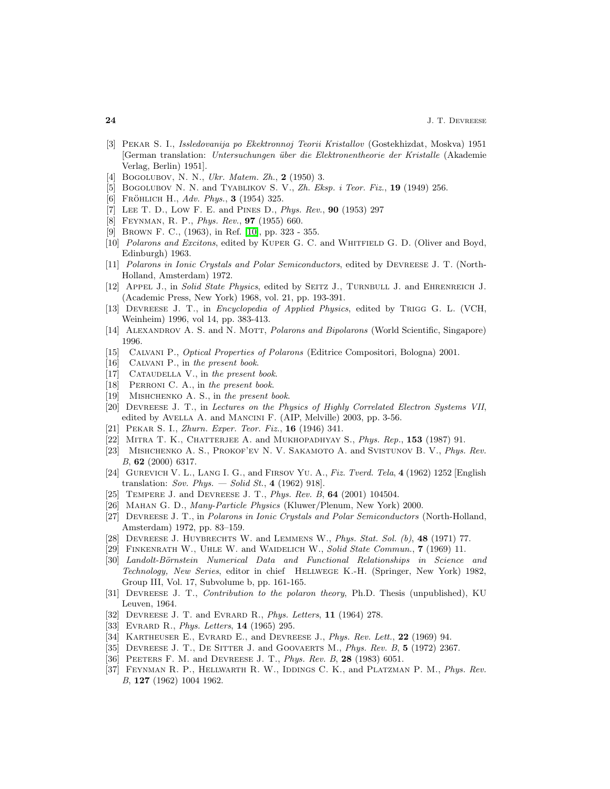- <span id="page-23-0"></span>[3] Pekar S. I., Issledovanija po Ekektronnoj Teorii Kristallov (Gostekhizdat, Moskva) 1951 [German translation: Untersuchungen ¨uber die Elektronentheorie der Kristalle (Akademie Verlag, Berlin) 1951].
- <span id="page-23-2"></span><span id="page-23-1"></span>[4] BOGOLUBOV, N. N., Ukr. Matem. Zh., 2 (1950) 3.
- <span id="page-23-3"></span>[5] BOGOLUBOV N. N. and TYABLIKOV S. V.,  $Zh$ . Eksp. i Teor. Fiz., 19 (1949) 256.
- <span id="page-23-4"></span>[6] FRÖHLICH H., Adv. Phys., 3 (1954) 325.
- <span id="page-23-5"></span>[7] Lee T. D., Low F. E. and Pines D., Phys. Rev., 90 (1953) 297
- <span id="page-23-6"></span>[8] Feynman, R. P., Phys. Rev., 97 (1955) 660.
- <span id="page-23-7"></span>[9] Brown F. C., (1963), in Ref. [\[10\]](#page-23-7), pp. 323 - 355.
- [10] Polarons and Excitons, edited by KUPER G. C. and WHITFIELD G. D. (Oliver and Boyd, Edinburgh) 1963.
- <span id="page-23-8"></span>[11] Polarons in Ionic Crystals and Polar Semiconductors, edited by Devreese J. T. (North-Holland, Amsterdam) 1972.
- <span id="page-23-9"></span>[12] APPEL J., in Solid State Physics, edited by SEITZ J., TURNBULL J. and EHRENREICH J. (Academic Press, New York) 1968, vol. 21, pp. 193-391.
- <span id="page-23-10"></span>[13] DEVREESE J. T., in Encyclopedia of Applied Physics, edited by TRIGG G. L. (VCH, Weinheim) 1996, vol 14, pp. 383-413.
- <span id="page-23-12"></span><span id="page-23-11"></span>[14] ALEXANDROV A. S. and N. MOTT, *Polarons and Bipolarons* (World Scientific, Singapore) 1996.
- <span id="page-23-13"></span>[15] Calvani P., Optical Properties of Polarons (Editrice Compositori, Bologna) 2001.
- <span id="page-23-14"></span>[16] CALVANI P., in the present book.
- <span id="page-23-15"></span>[17] CATAUDELLA V., in the present book.
- <span id="page-23-16"></span>[18] PERRONI C. A., in the present book.
- <span id="page-23-18"></span>[19] MISHCHENKO A. S., in the present book.
- [20] Devreese J. T., in Lectures on the Physics of Highly Correlated Electron Systems VII, edited by AVELLA A. and MANCINI F. (AIP, Melville) 2003, pp. 3-56.
- <span id="page-23-19"></span><span id="page-23-17"></span>[21] PEKAR S. I., *Zhurn. Exper. Teor. Fiz.*, **16** (1946) 341.
- <span id="page-23-20"></span>[22] MITRA T. K., CHATTERJEE A. and MUKHOPADHYAY S., Phys. Rep., 153 (1987) 91.
- <span id="page-23-21"></span>[23] MISHCHENKO A. S., PROKOF'EV N. V. SAKAMOTO A. and SVISTUNOV B. V., *Phys. Rev.* B, 62 (2000) 6317.
- [24] Gurevich V. L., Lang I. G., and Firsov Yu. A., Fiz. Tverd. Tela, 4 (1962) 1252 [English translation: Sov. Phys.  $-Solid St., 4 (1962) 918$ .
- <span id="page-23-23"></span><span id="page-23-22"></span>[25] TEMPERE J. and DEVREESE J. T., *Phys. Rev. B*, **64** (2001) 104504.
- <span id="page-23-24"></span>[26] Mahan G. D., Many-Particle Physics (Kluwer/Plenum, New York) 2000.
- [27] Devreese J. T., in Polarons in Ionic Crystals and Polar Semiconductors (North-Holland, Amsterdam) 1972, pp. 83–159.
- <span id="page-23-30"></span><span id="page-23-25"></span>[28] DEVREESE J. HUYBRECHTS W. and LEMMENS W., *Phys. Stat. Sol.*  $(b)$ , **48** (1971) 77.
- <span id="page-23-31"></span>[29] Finkenrath W., Uhle W. and Waidelich W., Solid State Commun., 7 (1969) 11.
- [30] Landolt-Börnstein Numerical Data and Functional Relationships in Science and Technology, New Series, editor in chief Hellwege K.-H. (Springer, New York) 1982, Group III, Vol. 17, Subvolume b, pp. 161-165.
- <span id="page-23-26"></span>[31] Devreese J. T., Contribution to the polaron theory, Ph.D. Thesis (unpublished), KU Leuven, 1964.
- <span id="page-23-28"></span><span id="page-23-27"></span>[32] DEVREESE J. T. and EVRARD R., *Phys. Letters*, **11** (1964) 278.
- <span id="page-23-29"></span>[33] EVRARD R., *Phys. Letters*, **14** (1965) 295.
- <span id="page-23-32"></span>[34] KARTHEUSER E., EVRARD E., and DEVREESE J., *Phys. Rev. Lett.*, **22** (1969) 94.
- <span id="page-23-33"></span>[35] DEVREESE J. T., DE SITTER J. and GOOVAERTS M., *Phys. Rev. B*, **5** (1972) 2367.
- <span id="page-23-34"></span>[36] PEETERS F. M. and DEVREESE J. T., *Phys. Rev. B*, 28 (1983) 6051.
- [37] FEYNMAN R. P., HELLWARTH R. W., IDDINGS C. K., and PLATZMAN P. M., Phys. Rev. B, 127 (1962) 1004 1962.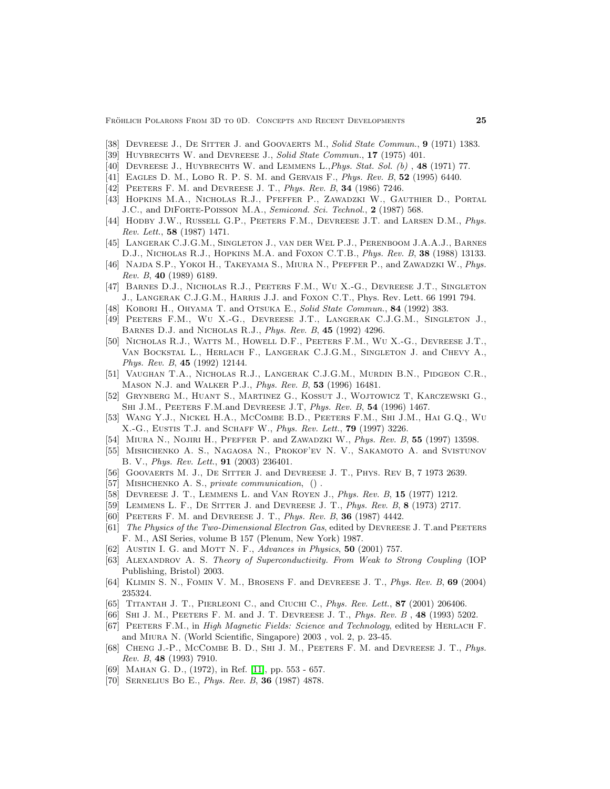- <span id="page-24-1"></span><span id="page-24-0"></span>[38] DEVREESE J., DE SITTER J. and GOOVAERTS M., Solid State Commun., 9 (1971) 1383.
- <span id="page-24-2"></span>[39] HUYBRECHTS W. and DEVREESE J., Solid State Commun., 17 (1975) 401.
- [40] DEVREESE J., HUYBRECHTS W. and LEMMENS L., *Phys. Stat. Sol. (b)*, **48** (1971) 77.
- <span id="page-24-4"></span><span id="page-24-3"></span>[41] EAGLES D. M., LOBO R. P. S. M. and GERVAIS F., Phys. Rev. B, 52 (1995) 6440.
- [42] PEETERS F. M. and DEVREESE J. T., *Phys. Rev. B*, **34** (1986) 7246.
- [43] Hopkins M.A., Nicholas R.J., Pfeffer P., Zawadzki W., Gauthier D., Portal J.C., and DIFORTE-POISSON M.A., Semicond. Sci. Technol., 2 (1987) 568.
- <span id="page-24-15"></span>[44] HODBY J.W., RUSSELL G.P., PEETERS F.M., DEVREESE J.T. and LARSEN D.M., Phys. Rev. Lett., 58 (1987) 1471.
- [45] Langerak C.J.G.M., Singleton J., van der Wel P.J., Perenboom J.A.A.J., Barnes D.J., NICHOLAS R.J., HOPKINS M.A. and FOXON C.T.B., *Phys. Rev. B*, **38** (1988) 13133.
- [46] NAJDA S.P., YOKOI H., TAKEYAMA S., MIURA N., PFEFFER P., and ZAWADZKI W., Phys. Rev. B, 40 (1989) 6189.
- [47] Barnes D.J., Nicholas R.J., Peeters F.M., Wu X.-G., Devreese J.T., Singleton J., Langerak C.J.G.M., Harris J.J. and Foxon C.T., Phys. Rev. Lett. 66 1991 794.
- <span id="page-24-16"></span>[48] KOBORI H., OHYAMA T. and OTSUKA E., Solid State Commun., 84 (1992) 383.
- [49] Peeters F.M., Wu X.-G., Devreese J.T., Langerak C.J.G.M., Singleton J., Barnes D.J. and Nicholas R.J., Phys. Rev. B, 45 (1992) 4296.
- [50] Nicholas R.J., Watts M., Howell D.F., Peeters F.M., Wu X.-G., Devreese J.T., Van Bockstal L., Herlach F., Langerak C.J.G.M., Singleton J. and Chevy A., Phys. Rev. B, 45 (1992) 12144.
- [51] Vaughan T.A., Nicholas R.J., Langerak C.J.G.M., Murdin B.N., Pidgeon C.R., Mason N.J. and Walker P.J., Phys. Rev. B, 53 (1996) 16481.
- <span id="page-24-18"></span>[52] Grynberg M., Huant S., Martinez G., Kossut J., Wojtowicz T, Karczewski G., SHI J.M., PEETERS F.M.and DEVREESE J.T, *Phys. Rev. B*, **54** (1996) 1467.
- <span id="page-24-19"></span>[53] Wang Y.J., Nickel H.A., McCombe B.D., Peeters F.M., Shi J.M., Hai G.Q., Wu X.-G., Eustis T.J. and Schaff W., Phys. Rev. Lett., 79 (1997) 3226.
- <span id="page-24-6"></span><span id="page-24-5"></span>[54] MIURA N., NOJIRI H., PFEFFER P. and ZAWADZKI W., *Phys. Rev. B*, **55** (1997) 13598.
- [55] Mishchenko A. S., Nagaosa N., Prokof'ev N. V., Sakamoto A. and Svistunov B. V., Phys. Rev. Lett., 91 (2003) 236401.
- <span id="page-24-8"></span><span id="page-24-7"></span>[56] GOOVAERTS M. J., DE SITTER J. and DEVREESE J. T., PHYS. REV B, 7 1973 2639.
- <span id="page-24-9"></span>[57] Mishchenko A. S., private communication, () .
- <span id="page-24-10"></span>[58] DEVREESE J. T., LEMMENS L. and VAN ROYEN J., Phys. Rev. B, 15 (1977) 1212.
- <span id="page-24-11"></span>[59] LEMMENS L. F., DE SITTER J. and DEVREESE J. T., *Phys. Rev. B*, **8** (1973) 2717.
- <span id="page-24-12"></span>[60] PEETERS F. M. and DEVREESE J. T., *Phys. Rev. B*, **36** (1987) 4442.
- [61] The Physics of the Two-Dimensional Electron Gas, edited by DEVREESE J. T. and PEETERS F. M., ASI Series, volume B 157 (Plenum, New York) 1987.
- [62] AUSTIN I. G. and MOTT N. F., Advances in Physics, 50 (2001) 757.
- [63] Alexandrov A. S. Theory of Superconductivity. From Weak to Strong Coupling (IOP Publishing, Bristol) 2003.
- <span id="page-24-13"></span>[64] KLIMIN S. N., FOMIN V. M., BROSENS F. and DEVREESE J. T., *Phys. Rev. B*, **69** (2004) 235324.
- <span id="page-24-17"></span><span id="page-24-14"></span>[65] TITANTAH J. T., PIERLEONI C., and CIUCHI C., Phys. Rev. Lett., 87 (2001) 206406.
- <span id="page-24-20"></span>[66] Shi J. M., Peeters F. M. and J. T. Devreese J. T., Phys. Rev. B , 48 (1993) 5202.
- [67] PEETERS F.M., in *High Magnetic Fields: Science and Technology*, edited by HERLACH F. and Miura N. (World Scientific, Singapore) 2003 , vol. 2, p. 23-45.
- <span id="page-24-23"></span>[68] Cheng J.-P., McCombe B. D., Shi J. M., Peeters F. M. and Devreese J. T., Phys. Rev. B, 48 (1993) 7910.
- <span id="page-24-22"></span><span id="page-24-21"></span>[69] Mahan G. D., (1972), in Ref. [\[11\]](#page-23-8), pp. 553 - 657.
- [70] Sernelius Bo E., Phys. Rev. B, 36 (1987) 4878.